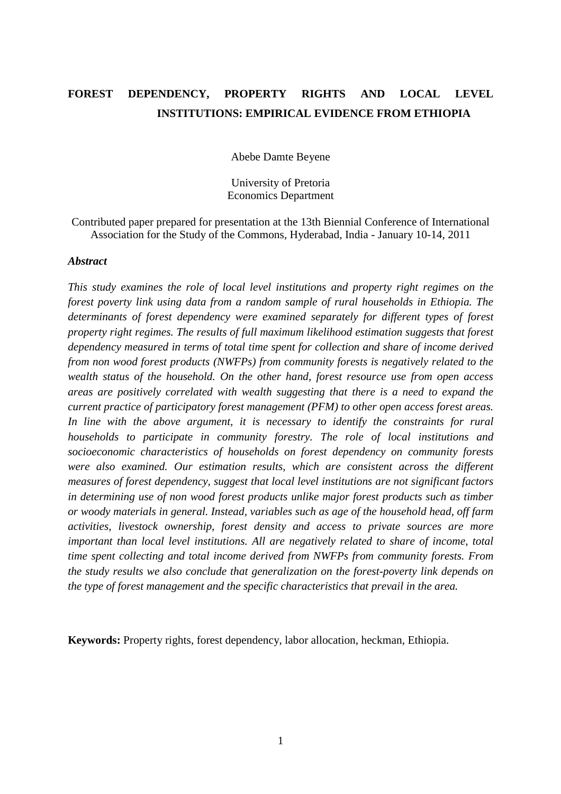# **FOREST DEPENDENCY, PROPERTY RIGHTS AND LOCAL LEVEL INSTITUTIONS: EMPIRICAL EVIDENCE FROM ETHIOPIA**

Abebe Damte Beyene

University of Pretoria Economics Department

Contributed paper prepared for presentation at the 13th Biennial Conference of International Association for the Study of the Commons, Hyderabad, India - January 10-14, 2011

# *Abstract*

*This study examines the role of local level institutions and property right regimes on the forest poverty link using data from a random sample of rural households in Ethiopia. The determinants of forest dependency were examined separately for different types of forest property right regimes. The results of full maximum likelihood estimation suggests that forest dependency measured in terms of total time spent for collection and share of income derived from non wood forest products (NWFPs) from community forests is negatively related to the wealth status of the household. On the other hand, forest resource use from open access areas are positively correlated with wealth suggesting that there is a need to expand the current practice of participatory forest management (PFM) to other open access forest areas.*  In line with the above argument, it is necessary to identify the constraints for rural *households to participate in community forestry. The role of local institutions and socioeconomic characteristics of households on forest dependency on community forests were also examined. Our estimation results, which are consistent across the different measures of forest dependency, suggest that local level institutions are not significant factors in determining use of non wood forest products unlike major forest products such as timber or woody materials in general. Instead, variables such as age of the household head, off farm activities, livestock ownership, forest density and access to private sources are more important than local level institutions. All are negatively related to share of income, total time spent collecting and total income derived from NWFPs from community forests. From the study results we also conclude that generalization on the forest-poverty link depends on the type of forest management and the specific characteristics that prevail in the area.* 

**Keywords:** Property rights, forest dependency, labor allocation, heckman, Ethiopia.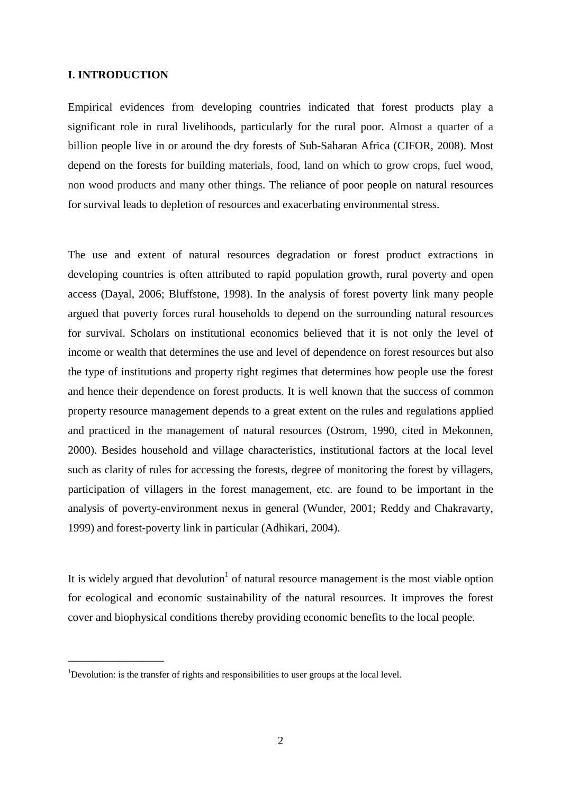# **I. INTRODUCTION**

 $\overline{\phantom{a}}$  , where  $\overline{\phantom{a}}$ 

Empirical evidences from developing countries indicated that forest products play a significant role in rural livelihoods, particularly for the rural poor. Almost a quarter of a billion people live in or around the dry forests of Sub-Saharan Africa (CIFOR, 2008). Most depend on the forests for building materials, food, land on which to grow crops, fuel wood, non wood products and many other things. The reliance of poor people on natural resources for survival leads to depletion of resources and exacerbating environmental stress.

The use and extent of natural resources degradation or forest product extractions in developing countries is often attributed to rapid population growth, rural poverty and open access (Dayal, 2006; Bluffstone, 1998). In the analysis of forest poverty link many people argued that poverty forces rural households to depend on the surrounding natural resources for survival. Scholars on institutional economics believed that it is not only the level of income or wealth that determines the use and level of dependence on forest resources but also the type of institutions and property right regimes that determines how people use the forest and hence their dependence on forest products. It is well known that the success of common property resource management depends to a great extent on the rules and regulations applied and practiced in the management of natural resources (Ostrom, 1990, cited in Mekonnen, 2000). Besides household and village characteristics, institutional factors at the local level such as clarity of rules for accessing the forests, degree of monitoring the forest by villagers, participation of villagers in the forest management, etc. are found to be important in the analysis of poverty-environment nexus in general (Wunder, 2001; Reddy and Chakravarty, 1999) and forest-poverty link in particular (Adhikari, 2004).

It is widely argued that devolution<sup>1</sup> of natural resource management is the most viable option for ecological and economic sustainability of the natural resources. It improves the forest cover and biophysical conditions thereby providing economic benefits to the local people.

<sup>&</sup>lt;sup>1</sup>Devolution: is the transfer of rights and responsibilities to user groups at the local level.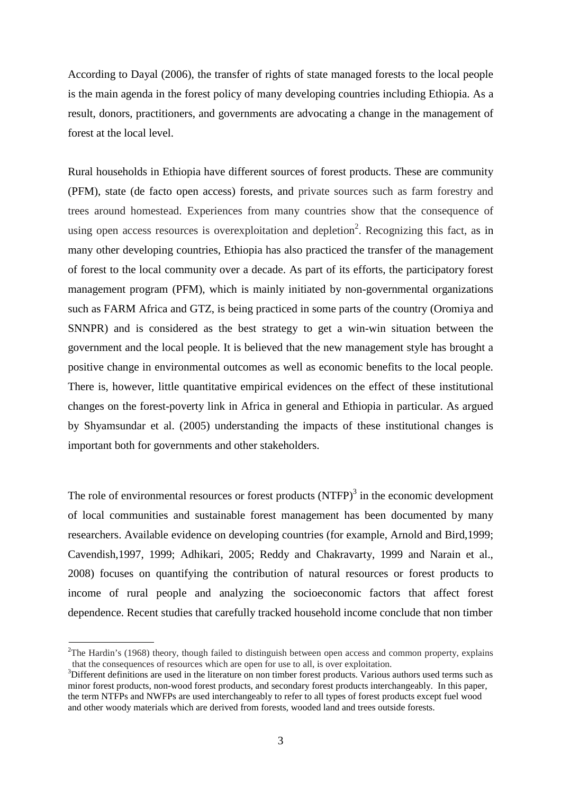According to Dayal (2006), the transfer of rights of state managed forests to the local people is the main agenda in the forest policy of many developing countries including Ethiopia. As a result, donors, practitioners, and governments are advocating a change in the management of forest at the local level.

Rural households in Ethiopia have different sources of forest products. These are community (PFM), state (de facto open access) forests, and private sources such as farm forestry and trees around homestead. Experiences from many countries show that the consequence of using open access resources is overexploitation and depletion<sup>2</sup>. Recognizing this fact, as in many other developing countries, Ethiopia has also practiced the transfer of the management of forest to the local community over a decade. As part of its efforts, the participatory forest management program (PFM), which is mainly initiated by non-governmental organizations such as FARM Africa and GTZ, is being practiced in some parts of the country (Oromiya and SNNPR) and is considered as the best strategy to get a win-win situation between the government and the local people. It is believed that the new management style has brought a positive change in environmental outcomes as well as economic benefits to the local people. There is, however, little quantitative empirical evidences on the effect of these institutional changes on the forest-poverty link in Africa in general and Ethiopia in particular. As argued by Shyamsundar et al. (2005) understanding the impacts of these institutional changes is important both for governments and other stakeholders.

The role of environmental resources or forest products  $(NTFP)^3$  in the economic development of local communities and sustainable forest management has been documented by many researchers. Available evidence on developing countries (for example, Arnold and Bird,1999; Cavendish,1997, 1999; Adhikari, 2005; Reddy and Chakravarty, 1999 and Narain et al., 2008) focuses on quantifying the contribution of natural resources or forest products to income of rural people and analyzing the socioeconomic factors that affect forest dependence. Recent studies that carefully tracked household income conclude that non timber

 $2$ The Hardin's (1968) theory, though failed to distinguish between open access and common property, explains that the consequences of resources which are open for use to all, is over exploitation.

<sup>&</sup>lt;sup>3</sup>Different definitions are used in the literature on non timber forest products. Various authors used terms such as minor forest products, non-wood forest products, and secondary forest products interchangeably. In this paper, the term NTFPs and NWFPs are used interchangeably to refer to all types of forest products except fuel wood and other woody materials which are derived from forests, wooded land and trees outside forests.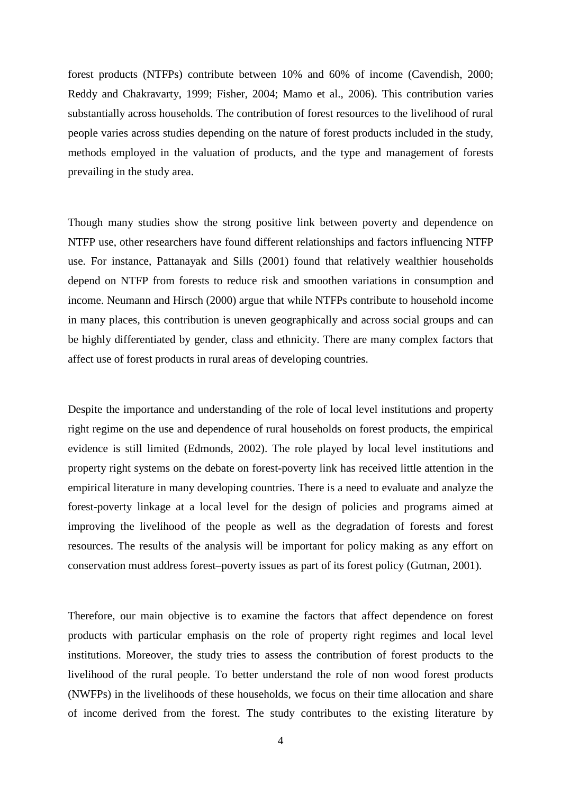forest products (NTFPs) contribute between 10% and 60% of income (Cavendish, 2000; Reddy and Chakravarty, 1999; Fisher, 2004; Mamo et al., 2006). This contribution varies substantially across households. The contribution of forest resources to the livelihood of rural people varies across studies depending on the nature of forest products included in the study, methods employed in the valuation of products, and the type and management of forests prevailing in the study area.

Though many studies show the strong positive link between poverty and dependence on NTFP use, other researchers have found different relationships and factors influencing NTFP use. For instance, Pattanayak and Sills (2001) found that relatively wealthier households depend on NTFP from forests to reduce risk and smoothen variations in consumption and income. Neumann and Hirsch (2000) argue that while NTFPs contribute to household income in many places, this contribution is uneven geographically and across social groups and can be highly differentiated by gender, class and ethnicity. There are many complex factors that affect use of forest products in rural areas of developing countries.

Despite the importance and understanding of the role of local level institutions and property right regime on the use and dependence of rural households on forest products, the empirical evidence is still limited (Edmonds, 2002). The role played by local level institutions and property right systems on the debate on forest-poverty link has received little attention in the empirical literature in many developing countries. There is a need to evaluate and analyze the forest-poverty linkage at a local level for the design of policies and programs aimed at improving the livelihood of the people as well as the degradation of forests and forest resources. The results of the analysis will be important for policy making as any effort on conservation must address forest–poverty issues as part of its forest policy (Gutman, 2001).

Therefore, our main objective is to examine the factors that affect dependence on forest products with particular emphasis on the role of property right regimes and local level institutions. Moreover, the study tries to assess the contribution of forest products to the livelihood of the rural people. To better understand the role of non wood forest products (NWFPs) in the livelihoods of these households, we focus on their time allocation and share of income derived from the forest. The study contributes to the existing literature by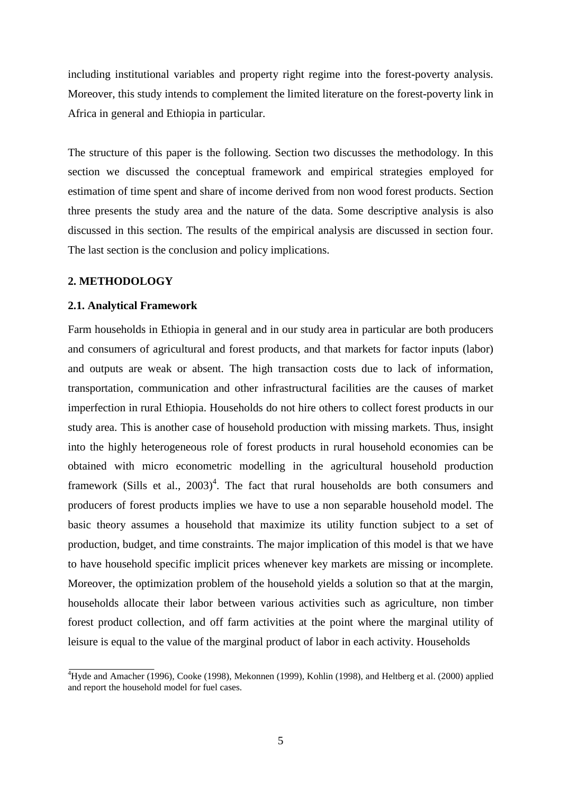including institutional variables and property right regime into the forest-poverty analysis. Moreover, this study intends to complement the limited literature on the forest-poverty link in Africa in general and Ethiopia in particular.

The structure of this paper is the following. Section two discusses the methodology. In this section we discussed the conceptual framework and empirical strategies employed for estimation of time spent and share of income derived from non wood forest products. Section three presents the study area and the nature of the data. Some descriptive analysis is also discussed in this section. The results of the empirical analysis are discussed in section four. The last section is the conclusion and policy implications.

# **2. METHODOLOGY**

# **2.1. Analytical Framework**

Farm households in Ethiopia in general and in our study area in particular are both producers and consumers of agricultural and forest products, and that markets for factor inputs (labor) and outputs are weak or absent. The high transaction costs due to lack of information, transportation, communication and other infrastructural facilities are the causes of market imperfection in rural Ethiopia. Households do not hire others to collect forest products in our study area. This is another case of household production with missing markets. Thus, insight into the highly heterogeneous role of forest products in rural household economies can be obtained with micro econometric modelling in the agricultural household production framework (Sills et al.,  $2003)^4$ . The fact that rural households are both consumers and producers of forest products implies we have to use a non separable household model. The basic theory assumes a household that maximize its utility function subject to a set of production, budget, and time constraints. The major implication of this model is that we have to have household specific implicit prices whenever key markets are missing or incomplete. Moreover, the optimization problem of the household yields a solution so that at the margin, households allocate their labor between various activities such as agriculture, non timber forest product collection, and off farm activities at the point where the marginal utility of leisure is equal to the value of the marginal product of labor in each activity. Households

<sup>&</sup>lt;sup>4</sup>Hyde and Amacher (1996), Cooke (1998), Mekonnen (1999), Kohlin (1998), and Heltberg et al. (2000) applied and report the household model for fuel cases.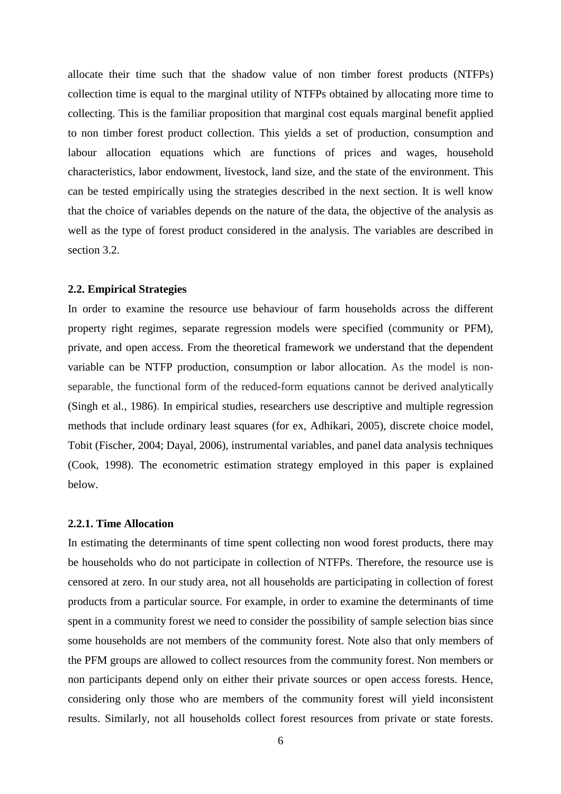allocate their time such that the shadow value of non timber forest products (NTFPs) collection time is equal to the marginal utility of NTFPs obtained by allocating more time to collecting. This is the familiar proposition that marginal cost equals marginal benefit applied to non timber forest product collection. This yields a set of production, consumption and labour allocation equations which are functions of prices and wages, household characteristics, labor endowment, livestock, land size, and the state of the environment. This can be tested empirically using the strategies described in the next section. It is well know that the choice of variables depends on the nature of the data, the objective of the analysis as well as the type of forest product considered in the analysis. The variables are described in section 3.2.

#### **2.2. Empirical Strategies**

In order to examine the resource use behaviour of farm households across the different property right regimes, separate regression models were specified (community or PFM), private, and open access. From the theoretical framework we understand that the dependent variable can be NTFP production, consumption or labor allocation. As the model is nonseparable, the functional form of the reduced-form equations cannot be derived analytically (Singh et al., 1986). In empirical studies, researchers use descriptive and multiple regression methods that include ordinary least squares (for ex, Adhikari, 2005), discrete choice model, Tobit (Fischer, 2004; Dayal, 2006), instrumental variables, and panel data analysis techniques (Cook, 1998). The econometric estimation strategy employed in this paper is explained below.

#### **2.2.1. Time Allocation**

In estimating the determinants of time spent collecting non wood forest products, there may be households who do not participate in collection of NTFPs. Therefore, the resource use is censored at zero. In our study area, not all households are participating in collection of forest products from a particular source. For example, in order to examine the determinants of time spent in a community forest we need to consider the possibility of sample selection bias since some households are not members of the community forest. Note also that only members of the PFM groups are allowed to collect resources from the community forest. Non members or non participants depend only on either their private sources or open access forests. Hence, considering only those who are members of the community forest will yield inconsistent results. Similarly, not all households collect forest resources from private or state forests.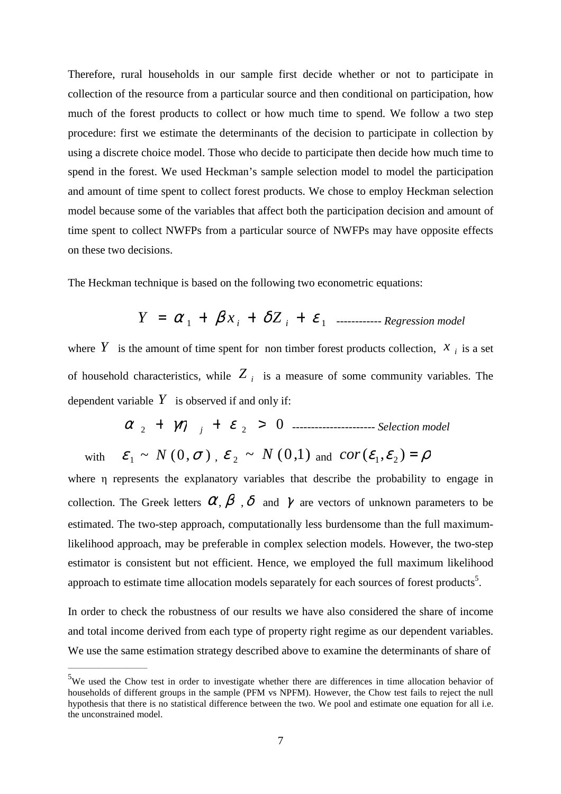Therefore, rural households in our sample first decide whether or not to participate in collection of the resource from a particular source and then conditional on participation, how much of the forest products to collect or how much time to spend. We follow a two step procedure: first we estimate the determinants of the decision to participate in collection by using a discrete choice model. Those who decide to participate then decide how much time to spend in the forest. We used Heckman's sample selection model to model the participation and amount of time spent to collect forest products. We chose to employ Heckman selection model because some of the variables that affect both the participation decision and amount of time spent to collect NWFPs from a particular source of NWFPs may have opposite effects on these two decisions.

The Heckman technique is based on the following two econometric equations:

$$
Y = \alpha_1 + \beta x_i + \delta Z_i + \varepsilon_1
$$
 \n
$$
F_1 = \text{Re}(\text{F} \cdot \text{Re}(\text{F} \cdot \text{Re}(\text{F} \cdot \text{Re}(\text{F} \cdot \text{Re}(\text{F} \cdot \text{Re}(\text{F} \cdot \text{Re}(\text{F} \cdot \text{Re}(\text{F} \cdot \text{Re}(\text{F} \cdot \text{Re}(\text{F} \cdot \text{Re}(\text{F} \cdot \text{Im}(\text{F} \cdot \text{Re}(\text{F} \cdot \text{Im}(\text{F} \cdot \text{Im}(\text{F} \cdot \text{Im}(\text{F} \cdot \text{Im}(\text{F} \cdot \text{Im}(\text{F} \cdot \text{Im}(\text{F} \cdot \text{Im}(\text{F} \cdot \text{Im}(\text{F} \cdot \text{Im}(\text{F} \cdot \text{Im}(\text{F} \cdot \text{Im}(\text{F} \cdot \text{Im}(\text{F} \cdot \text{Im}(\text{F} \cdot \text{Im}(\text{F} \cdot \text{Im}(\text{F} \cdot \text{Im}(\text{F} \cdot \text{Im}(\text{F} \cdot \text{Im}(\text{F} \cdot \text{Im}(\text{F} \cdot \text{Im}(\text{F} \cdot \text{Im}(\text{F} \cdot \text{Im}(\text{F} \cdot \text{Im}(\text{F} \cdot \text{Im}(\text{F} \cdot \text{Im}(\text{F} \cdot \text{Im}(\text{F} \cdot \text{Im}(\text{F} \cdot \text{Im}(\text{F} \cdot \text{Im}(\text{F} \cdot \text{Im}(\text{F} \cdot \text{Im}(\text{F} \cdot \text{Im}(\text{F} \cdot \text{Im}(\text{F} \cdot \text{Im}(\text{F} \cdot \text{Im}(\text{F} \cdot \text{Im}(\text{F} \cdot \text{Im}(\text{F} \cdot \text{Im}(\text{F} \cdot \text{Im}(\text{F} \cdot \text{Im}(\text{F} \cdot \text{Im}(\text{F} \cdot \text{Im}(\text{F} \cdot \text{Im}(\text{F} \cdot \text{Im}(\text{F} \cdot \text{Im}(\text{F} \cdot \text{Im}(\text{F} \cdot \text{Im}(\text{F} \cdot
$$

where Y is the amount of time spent for non timber forest products collection,  $x_i$  is a set of household characteristics, while *Z <sup>i</sup>* is a measure of some community variables. The dependent variable  $Y$  is observed if and only if:

$$
\alpha_{2} + \gamma \eta_{j} + \varepsilon_{2} > 0
$$
 1.13. See

with  $\varepsilon_1 \sim N(0, \sigma)$ ,  $\varepsilon_2 \sim N(0, 1)$  and  $cor(\varepsilon_1, \varepsilon_2) = \rho$ 

where η represents the explanatory variables that describe the probability to engage in collection. The Greek letters  $\alpha$ ,  $\beta$ ,  $\delta$  and  $\gamma$  are vectors of unknown parameters to be estimated. The two-step approach, computationally less burdensome than the full maximumlikelihood approach, may be preferable in complex selection models. However, the two-step estimator is consistent but not efficient. Hence, we employed the full maximum likelihood approach to estimate time allocation models separately for each sources of forest products<sup>5</sup>.

In order to check the robustness of our results we have also considered the share of income and total income derived from each type of property right regime as our dependent variables. We use the same estimation strategy described above to examine the determinants of share of

\_\_\_\_\_\_\_\_\_\_\_\_\_\_\_\_\_\_\_\_\_\_\_\_\_\_

<sup>&</sup>lt;sup>5</sup>We used the Chow test in order to investigate whether there are differences in time allocation behavior of households of different groups in the sample (PFM vs NPFM). However, the Chow test fails to reject the null hypothesis that there is no statistical difference between the two. We pool and estimate one equation for all i.e. the unconstrained model.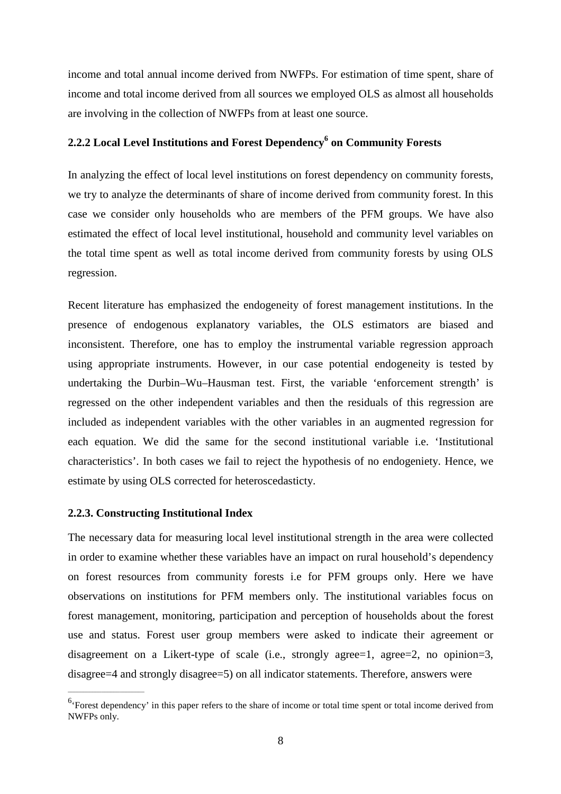income and total annual income derived from NWFPs. For estimation of time spent, share of income and total income derived from all sources we employed OLS as almost all households are involving in the collection of NWFPs from at least one source.

# 2.2.2 Local Level Institutions and Forest Dependency<sup>6</sup> on Community Forests

In analyzing the effect of local level institutions on forest dependency on community forests, we try to analyze the determinants of share of income derived from community forest. In this case we consider only households who are members of the PFM groups. We have also estimated the effect of local level institutional, household and community level variables on the total time spent as well as total income derived from community forests by using OLS regression.

Recent literature has emphasized the endogeneity of forest management institutions. In the presence of endogenous explanatory variables, the OLS estimators are biased and inconsistent. Therefore, one has to employ the instrumental variable regression approach using appropriate instruments. However, in our case potential endogeneity is tested by undertaking the Durbin–Wu–Hausman test. First, the variable 'enforcement strength' is regressed on the other independent variables and then the residuals of this regression are included as independent variables with the other variables in an augmented regression for each equation. We did the same for the second institutional variable i.e. 'Institutional characteristics'. In both cases we fail to reject the hypothesis of no endogeniety. Hence, we estimate by using OLS corrected for heteroscedasticty.

### **2.2.3. Constructing Institutional Index**

\_\_\_\_\_\_\_\_\_\_\_\_\_\_\_\_\_\_\_\_\_\_\_\_\_

The necessary data for measuring local level institutional strength in the area were collected in order to examine whether these variables have an impact on rural household's dependency on forest resources from community forests i.e for PFM groups only. Here we have observations on institutions for PFM members only. The institutional variables focus on forest management, monitoring, participation and perception of households about the forest use and status. Forest user group members were asked to indicate their agreement or disagreement on a Likert-type of scale (i.e., strongly agree=1, agree=2, no opinion=3, disagree=4 and strongly disagree=5) on all indicator statements. Therefore, answers were

<sup>&</sup>lt;sup>6</sup>'Forest dependency' in this paper refers to the share of income or total time spent or total income derived from NWFPs only.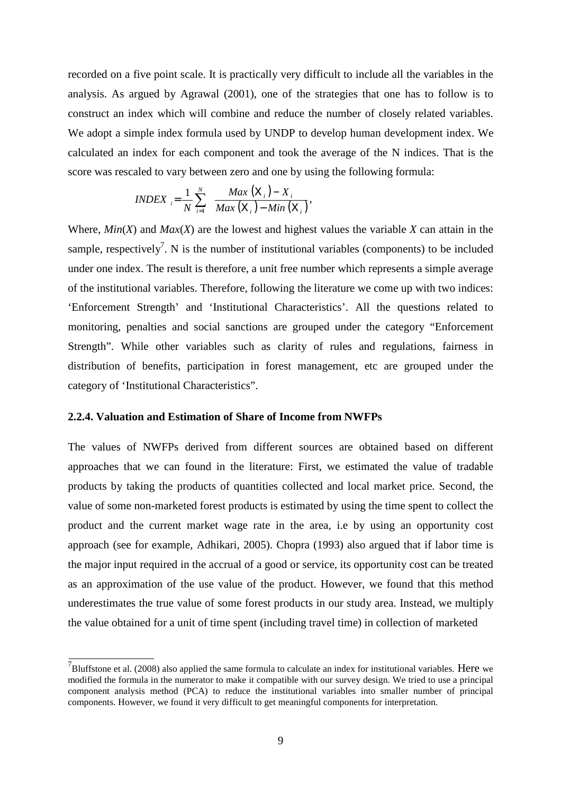recorded on a five point scale. It is practically very difficult to include all the variables in the analysis. As argued by Agrawal (2001), one of the strategies that one has to follow is to construct an index which will combine and reduce the number of closely related variables. We adopt a simple index formula used by UNDP to develop human development index. We calculated an index for each component and took the average of the N indices. That is the score was rescaled to vary between zero and one by using the following formula:

$$
INDEX_{i} = \frac{1}{N} \sum_{i=1}^{N} \frac{Max(X_i) - X_i}{Max(X_i) - Min(X_i)},
$$

Where,  $Min(X)$  and  $Max(X)$  are the lowest and highest values the variable X can attain in the sample, respectively<sup>7</sup>. N is the number of institutional variables (components) to be included under one index. The result is therefore, a unit free number which represents a simple average of the institutional variables. Therefore, following the literature we come up with two indices: 'Enforcement Strength' and 'Institutional Characteristics'. All the questions related to monitoring, penalties and social sanctions are grouped under the category "Enforcement Strength". While other variables such as clarity of rules and regulations, fairness in distribution of benefits, participation in forest management, etc are grouped under the category of 'Institutional Characteristics".

### **2.2.4. Valuation and Estimation of Share of Income from NWFPs**

The values of NWFPs derived from different sources are obtained based on different approaches that we can found in the literature: First, we estimated the value of tradable products by taking the products of quantities collected and local market price. Second, the value of some non-marketed forest products is estimated by using the time spent to collect the product and the current market wage rate in the area, i.e by using an opportunity cost approach (see for example, Adhikari, 2005). Chopra (1993) also argued that if labor time is the major input required in the accrual of a good or service, its opportunity cost can be treated as an approximation of the use value of the product. However, we found that this method underestimates the true value of some forest products in our study area. Instead, we multiply the value obtained for a unit of time spent (including travel time) in collection of marketed

 $^7$ Bluffstone et al. (2008) also applied the same formula to calculate an index for institutional variables. Here we modified the formula in the numerator to make it compatible with our survey design. We tried to use a principal component analysis method (PCA) to reduce the institutional variables into smaller number of principal components. However, we found it very difficult to get meaningful components for interpretation.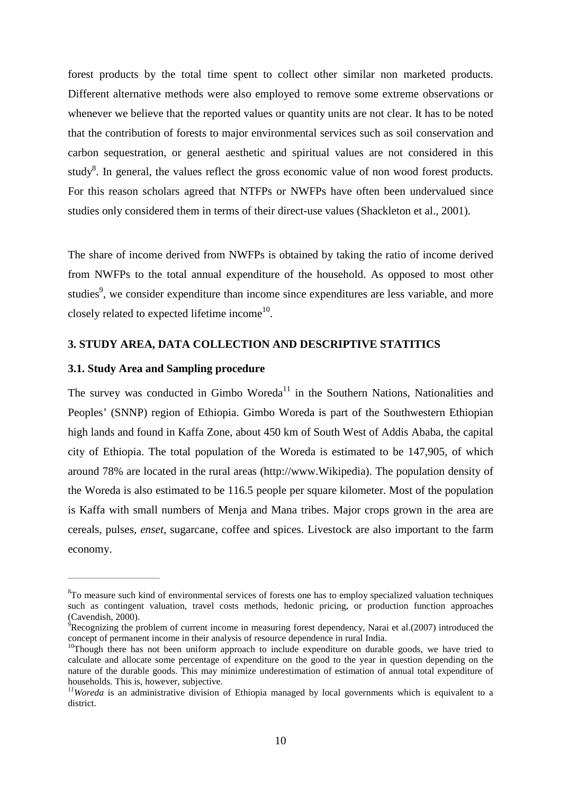forest products by the total time spent to collect other similar non marketed products. Different alternative methods were also employed to remove some extreme observations or whenever we believe that the reported values or quantity units are not clear. It has to be noted that the contribution of forests to major environmental services such as soil conservation and carbon sequestration, or general aesthetic and spiritual values are not considered in this study<sup>8</sup>. In general, the values reflect the gross economic value of non wood forest products. For this reason scholars agreed that NTFPs or NWFPs have often been undervalued since studies only considered them in terms of their direct-use values (Shackleton et al., 2001).

The share of income derived from NWFPs is obtained by taking the ratio of income derived from NWFPs to the total annual expenditure of the household. As opposed to most other studies<sup>9</sup>, we consider expenditure than income since expenditures are less variable, and more closely related to expected lifetime income<sup>10</sup>.

# **3. STUDY AREA, DATA COLLECTION AND DESCRIPTIVE STATITICS**

# **3.1. Study Area and Sampling procedure**

\_\_\_\_\_\_\_\_\_\_\_\_\_\_\_\_\_\_\_\_\_\_\_\_\_\_\_\_\_\_

The survey was conducted in Gimbo Woreda<sup>11</sup> in the Southern Nations, Nationalities and Peoples' (SNNP) region of Ethiopia. Gimbo Woreda is part of the Southwestern Ethiopian high lands and found in Kaffa Zone, about 450 km of South West of Addis Ababa, the capital city of Ethiopia. The total population of the Woreda is estimated to be 147,905, of which around 78% are located in the rural areas (http://www.Wikipedia). The population density of the Woreda is also estimated to be 116.5 people per square kilometer. Most of the population is Kaffa with small numbers of Menja and Mana tribes. Major crops grown in the area are cereals, pulses, *enset,* sugarcane, coffee and spices. Livestock are also important to the farm economy.

<sup>&</sup>lt;sup>8</sup>To measure such kind of environmental services of forests one has to employ specialized valuation techniques such as contingent valuation, travel costs methods, hedonic pricing, or production function approaches (Cavendish, 2000).

 $9R$ ecognizing the problem of current income in measuring forest dependency, Narai et al.(2007) introduced the concept of permanent income in their analysis of resource dependence in rural India.

 $10$ Though there has not been uniform approach to include expenditure on durable goods, we have tried to calculate and allocate some percentage of expenditure on the good to the year in question depending on the nature of the durable goods. This may minimize underestimation of estimation of annual total expenditure of households. This is, however, subjective.

*<sup>11</sup>Woreda* is an administrative division of Ethiopia managed by local governments which is equivalent to a district.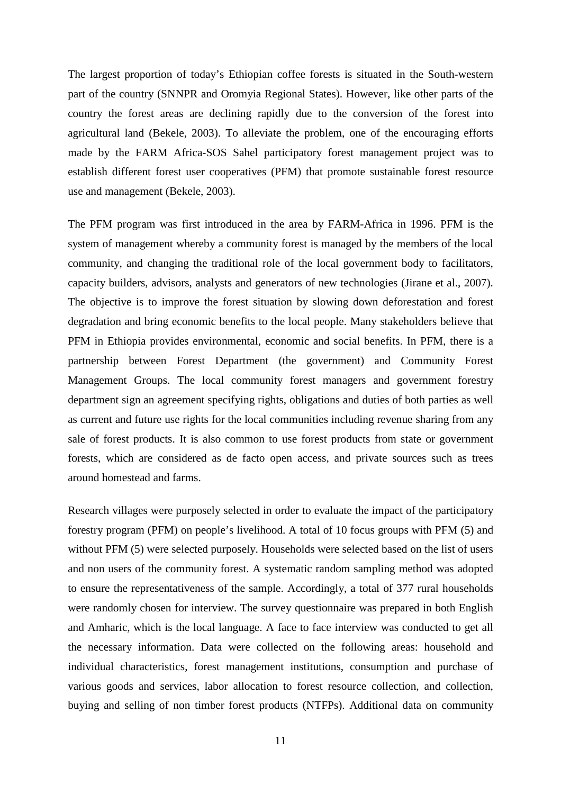The largest proportion of today's Ethiopian coffee forests is situated in the South-western part of the country (SNNPR and Oromyia Regional States). However, like other parts of the country the forest areas are declining rapidly due to the conversion of the forest into agricultural land (Bekele, 2003). To alleviate the problem, one of the encouraging efforts made by the FARM Africa-SOS Sahel participatory forest management project was to establish different forest user cooperatives (PFM) that promote sustainable forest resource use and management (Bekele, 2003).

The PFM program was first introduced in the area by FARM-Africa in 1996. PFM is the system of management whereby a community forest is managed by the members of the local community, and changing the traditional role of the local government body to facilitators, capacity builders, advisors, analysts and generators of new technologies (Jirane et al., 2007). The objective is to improve the forest situation by slowing down deforestation and forest degradation and bring economic benefits to the local people. Many stakeholders believe that PFM in Ethiopia provides environmental, economic and social benefits. In PFM, there is a partnership between Forest Department (the government) and Community Forest Management Groups. The local community forest managers and government forestry department sign an agreement specifying rights, obligations and duties of both parties as well as current and future use rights for the local communities including revenue sharing from any sale of forest products. It is also common to use forest products from state or government forests, which are considered as de facto open access, and private sources such as trees around homestead and farms.

Research villages were purposely selected in order to evaluate the impact of the participatory forestry program (PFM) on people's livelihood. A total of 10 focus groups with PFM (5) and without PFM (5) were selected purposely. Households were selected based on the list of users and non users of the community forest. A systematic random sampling method was adopted to ensure the representativeness of the sample. Accordingly, a total of 377 rural households were randomly chosen for interview. The survey questionnaire was prepared in both English and Amharic, which is the local language. A face to face interview was conducted to get all the necessary information. Data were collected on the following areas: household and individual characteristics, forest management institutions, consumption and purchase of various goods and services, labor allocation to forest resource collection, and collection, buying and selling of non timber forest products (NTFPs). Additional data on community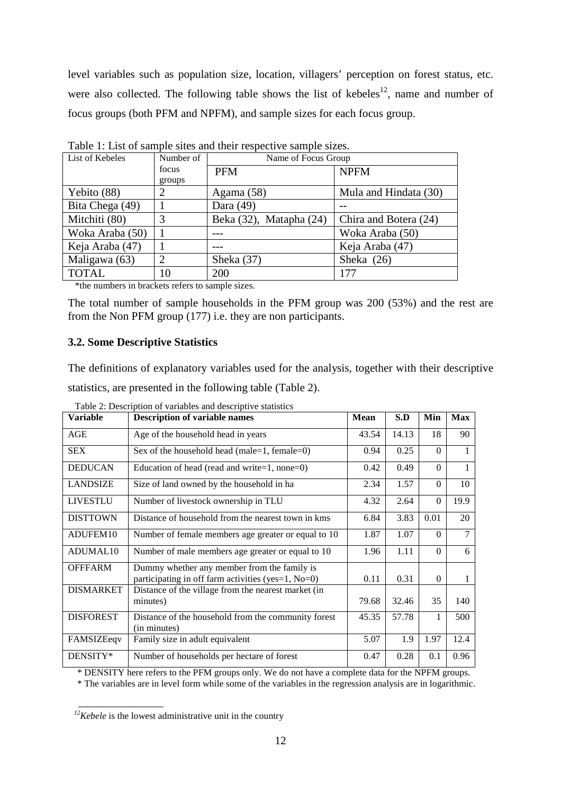level variables such as population size, location, villagers' perception on forest status, etc. were also collected. The following table shows the list of kebeles<sup>12</sup>, name and number of focus groups (both PFM and NPFM), and sample sizes for each focus group.

| List of Kebeles | Number of     | Name of Focus Group     |                       |  |  |  |  |  |
|-----------------|---------------|-------------------------|-----------------------|--|--|--|--|--|
|                 | focus         | <b>PFM</b>              | <b>NPFM</b>           |  |  |  |  |  |
|                 | groups        |                         |                       |  |  |  |  |  |
| Yebito (88)     | 2             | Agama $(58)$            | Mula and Hindata (30) |  |  |  |  |  |
| Bita Chega (49) |               | Dara $(49)$             |                       |  |  |  |  |  |
| Mitchiti (80)   | 3             | Beka (32), Matapha (24) | Chira and Botera (24) |  |  |  |  |  |
| Woka Araba (50) |               |                         | Woka Araba (50)       |  |  |  |  |  |
| Keja Araba (47) |               |                         | Keja Araba (47)       |  |  |  |  |  |
| Maligawa (63)   | $\mathcal{D}$ | Sheka (37)              | Sheka $(26)$          |  |  |  |  |  |
| <b>TOTAL</b>    | 10            | 200                     | 177                   |  |  |  |  |  |

Table 1: List of sample sites and their respective sample sizes.

\*the numbers in brackets refers to sample sizes.

The total number of sample households in the PFM group was 200 (53%) and the rest are from the Non PFM group (177) i.e. they are non participants.

#### **3.2. Some Descriptive Statistics**

The definitions of explanatory variables used for the analysis, together with their descriptive statistics, are presented in the following table (Table 2).

| <b>Variable</b>      | <b>Description of variable names</b>                                                                 | <b>Mean</b> | S.D   | Min      | <b>Max</b>     |
|----------------------|------------------------------------------------------------------------------------------------------|-------------|-------|----------|----------------|
| AGE                  | Age of the household head in years                                                                   | 43.54       | 14.13 | 18       | 90             |
| <b>SEX</b>           | Sex of the household head (male=1, female=0)                                                         | 0.94        | 0.25  | $\Omega$ | 1              |
| <b>DEDUCAN</b>       | Education of head (read and write=1, none=0)                                                         | 0.42        | 0.49  | $\theta$ | 1              |
| <b>LANDSIZE</b>      | Size of land owned by the household in ha                                                            | 2.34        | 1.57  | $\Omega$ | 10             |
| <b>LIVESTLU</b>      | Number of livestock ownership in TLU                                                                 | 4.32        | 2.64  | $\Omega$ | 19.9           |
| <b>DISTTOWN</b>      | Distance of household from the nearest town in kms                                                   | 6.84        | 3.83  | 0.01     | 20             |
| ADUFEM10             | Number of female members age greater or equal to 10                                                  | 1.87        | 1.07  | $\Omega$ | $\overline{7}$ |
| ADUMAL <sub>10</sub> | Number of male members age greater or equal to 10                                                    | 1.96        | 1.11  | $\Omega$ | 6              |
| <b>OFFFARM</b>       | Dummy whether any member from the family is<br>participating in off farm activities (yes=1, $No=0$ ) | 0.11        | 0.31  | $\Omega$ |                |
| <b>DISMARKET</b>     | Distance of the village from the nearest market (in<br>minutes)                                      | 79.68       | 32.46 | 35       | 140            |
| <b>DISFOREST</b>     | Distance of the household from the community forest<br>(in minutes)                                  | 45.35       | 57.78 | 1        | 500            |
| FAMSIZEeqv           | Family size in adult equivalent                                                                      | 5.07        | 1.9   | 1.97     | 12.4           |
| DENSITY*             | Number of households per hectare of forest                                                           | 0.47        | 0.28  | 0.1      | 0.96           |

Table 2: Description of variables and descriptive statistics

\* DENSITY here refers to the PFM groups only. We do not have a complete data for the NPFM groups.

\* The variables are in level form while some of the variables in the regression analysis are in logarithmic.

*<sup>12</sup>Kebele* is the lowest administrative unit in the country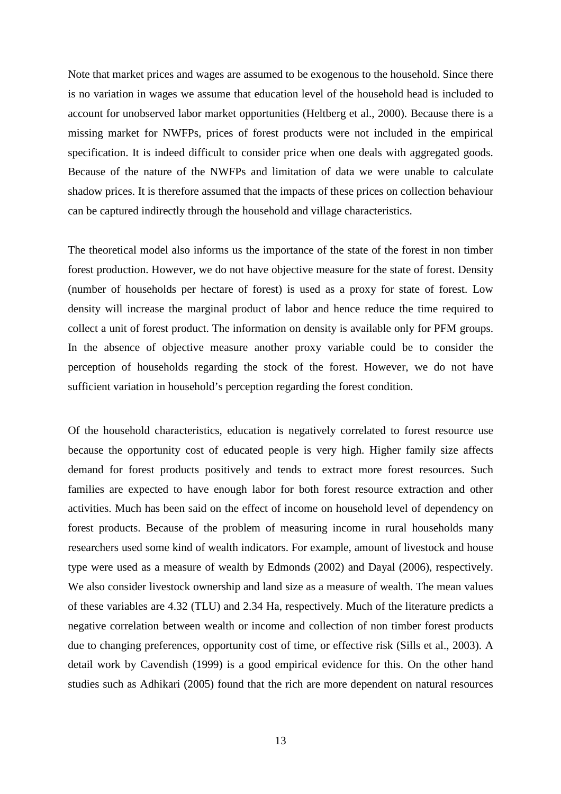Note that market prices and wages are assumed to be exogenous to the household. Since there is no variation in wages we assume that education level of the household head is included to account for unobserved labor market opportunities (Heltberg et al., 2000). Because there is a missing market for NWFPs, prices of forest products were not included in the empirical specification. It is indeed difficult to consider price when one deals with aggregated goods. Because of the nature of the NWFPs and limitation of data we were unable to calculate shadow prices. It is therefore assumed that the impacts of these prices on collection behaviour can be captured indirectly through the household and village characteristics.

The theoretical model also informs us the importance of the state of the forest in non timber forest production. However, we do not have objective measure for the state of forest. Density (number of households per hectare of forest) is used as a proxy for state of forest. Low density will increase the marginal product of labor and hence reduce the time required to collect a unit of forest product. The information on density is available only for PFM groups. In the absence of objective measure another proxy variable could be to consider the perception of households regarding the stock of the forest. However, we do not have sufficient variation in household's perception regarding the forest condition.

Of the household characteristics, education is negatively correlated to forest resource use because the opportunity cost of educated people is very high. Higher family size affects demand for forest products positively and tends to extract more forest resources. Such families are expected to have enough labor for both forest resource extraction and other activities. Much has been said on the effect of income on household level of dependency on forest products. Because of the problem of measuring income in rural households many researchers used some kind of wealth indicators. For example, amount of livestock and house type were used as a measure of wealth by Edmonds (2002) and Dayal (2006), respectively. We also consider livestock ownership and land size as a measure of wealth. The mean values of these variables are 4.32 (TLU) and 2.34 Ha, respectively. Much of the literature predicts a negative correlation between wealth or income and collection of non timber forest products due to changing preferences, opportunity cost of time, or effective risk (Sills et al., 2003). A detail work by Cavendish (1999) is a good empirical evidence for this. On the other hand studies such as Adhikari (2005) found that the rich are more dependent on natural resources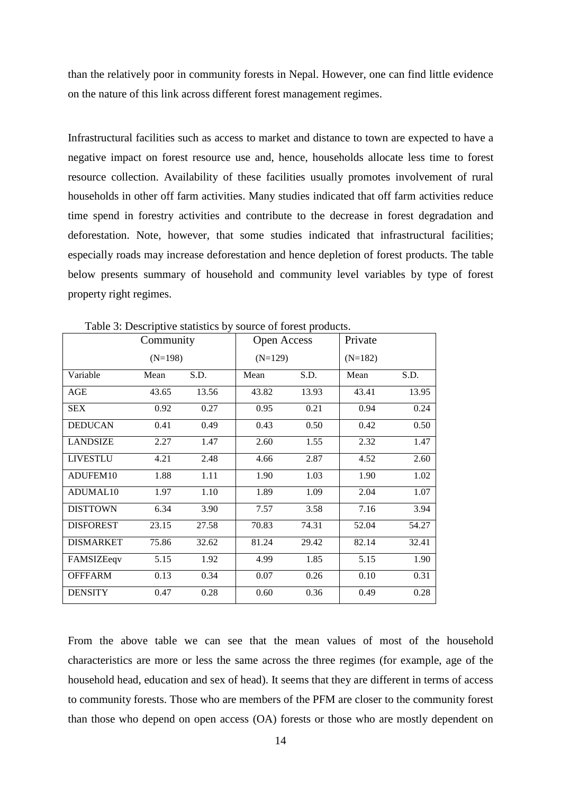than the relatively poor in community forests in Nepal. However, one can find little evidence on the nature of this link across different forest management regimes.

Infrastructural facilities such as access to market and distance to town are expected to have a negative impact on forest resource use and, hence, households allocate less time to forest resource collection. Availability of these facilities usually promotes involvement of rural households in other off farm activities. Many studies indicated that off farm activities reduce time spend in forestry activities and contribute to the decrease in forest degradation and deforestation. Note, however, that some studies indicated that infrastructural facilities; especially roads may increase deforestation and hence depletion of forest products. The table below presents summary of household and community level variables by type of forest property right regimes.

|                      | radio 5. Descriptive statistics by source of forest products. | <b>Open Access</b> |       |           |           |       |
|----------------------|---------------------------------------------------------------|--------------------|-------|-----------|-----------|-------|
|                      | $(N=198)$                                                     |                    |       | $(N=129)$ | $(N=182)$ |       |
| Variable             | Mean                                                          | S.D.               | Mean  | S.D.      | Mean      | S.D.  |
| AGE                  | 43.65                                                         | 13.56              | 43.82 | 13.93     | 43.41     | 13.95 |
| <b>SEX</b>           | 0.92                                                          | 0.27               | 0.95  | 0.21      | 0.94      | 0.24  |
| <b>DEDUCAN</b>       | 0.41                                                          | 0.49               | 0.43  | 0.50      | 0.42      | 0.50  |
| <b>LANDSIZE</b>      | 2.27                                                          | 1.47               | 2.60  | 1.55      | 2.32      | 1.47  |
| <b>LIVESTLU</b>      | 4.21                                                          | 2.48               | 4.66  | 2.87      | 4.52      | 2.60  |
| ADUFEM10             | 1.88                                                          | 1.11               | 1.90  | 1.03      | 1.90      | 1.02  |
| ADUMAL <sub>10</sub> | 1.97                                                          | 1.10               | 1.89  | 1.09      | 2.04      | 1.07  |
| <b>DISTTOWN</b>      | 6.34                                                          | 3.90               | 7.57  | 3.58      | 7.16      | 3.94  |
| <b>DISFOREST</b>     | 23.15                                                         | 27.58              | 70.83 | 74.31     | 52.04     | 54.27 |
| <b>DISMARKET</b>     | 75.86                                                         | 32.62              | 81.24 | 29.42     | 82.14     | 32.41 |
| FAMSIZEeqv           | 5.15                                                          | 1.92               | 4.99  | 1.85      | 5.15      | 1.90  |
| <b>OFFFARM</b>       | 0.13                                                          | 0.34               | 0.07  | 0.26      | 0.10      | 0.31  |
| <b>DENSITY</b>       | 0.47                                                          | 0.28               | 0.60  | 0.36      | 0.49      | 0.28  |

Table 3: Descriptive statistics by source of forest products.

From the above table we can see that the mean values of most of the household characteristics are more or less the same across the three regimes (for example, age of the household head, education and sex of head). It seems that they are different in terms of access to community forests. Those who are members of the PFM are closer to the community forest than those who depend on open access (OA) forests or those who are mostly dependent on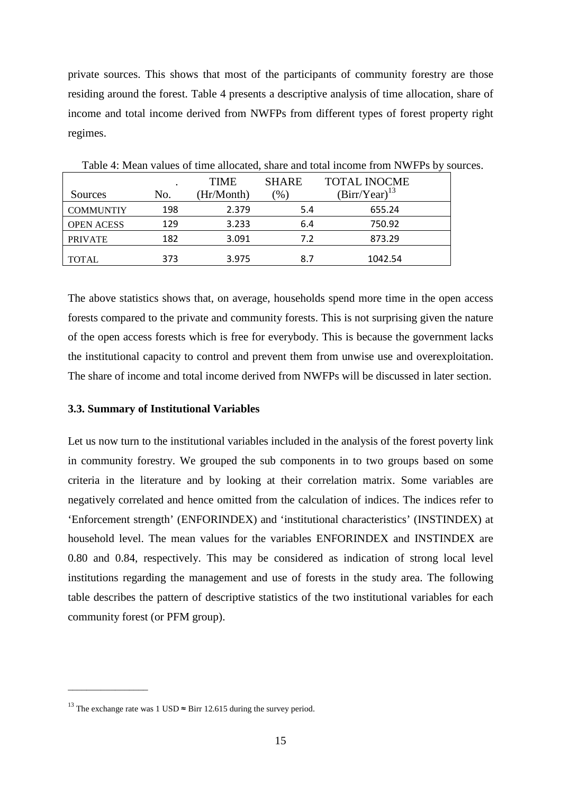private sources. This shows that most of the participants of community forestry are those residing around the forest. Table 4 presents a descriptive analysis of time allocation, share of income and total income derived from NWFPs from different types of forest property right regimes.

| Sources           | No. | <b>TIME</b><br>(Hr/Month) | <b>SHARE</b><br>(96) | <b>TOTAL INOCME</b><br>$(Birr/Year)^{13}$ |
|-------------------|-----|---------------------------|----------------------|-------------------------------------------|
| <b>COMMUNTIY</b>  | 198 | 2.379                     | 5.4                  | 655.24                                    |
| <b>OPEN ACESS</b> | 129 | 3.233                     | 6.4                  | 750.92                                    |
| <b>PRIVATE</b>    | 182 | 3.091                     | 7.2                  | 873.29                                    |
| <b>TOTAL</b>      | 373 | 3.975                     | 8.7                  | 1042.54                                   |

Table 4: Mean values of time allocated, share and total income from NWFPs by sources.

The above statistics shows that, on average, households spend more time in the open access forests compared to the private and community forests. This is not surprising given the nature of the open access forests which is free for everybody. This is because the government lacks the institutional capacity to control and prevent them from unwise use and overexploitation. The share of income and total income derived from NWFPs will be discussed in later section.

# **3.3. Summary of Institutional Variables**

Let us now turn to the institutional variables included in the analysis of the forest poverty link in community forestry. We grouped the sub components in to two groups based on some criteria in the literature and by looking at their correlation matrix. Some variables are negatively correlated and hence omitted from the calculation of indices. The indices refer to 'Enforcement strength' (ENFORINDEX) and 'institutional characteristics' (INSTINDEX) at household level. The mean values for the variables ENFORINDEX and INSTINDEX are 0.80 and 0.84, respectively. This may be considered as indication of strong local level institutions regarding the management and use of forests in the study area. The following table describes the pattern of descriptive statistics of the two institutional variables for each community forest (or PFM group).

 $\overline{\phantom{a}}$  , where the contract of the contract of  $\overline{\phantom{a}}$ 

<sup>&</sup>lt;sup>13</sup> The exchange rate was 1 USD  $\approx$  Birr 12.615 during the survey period.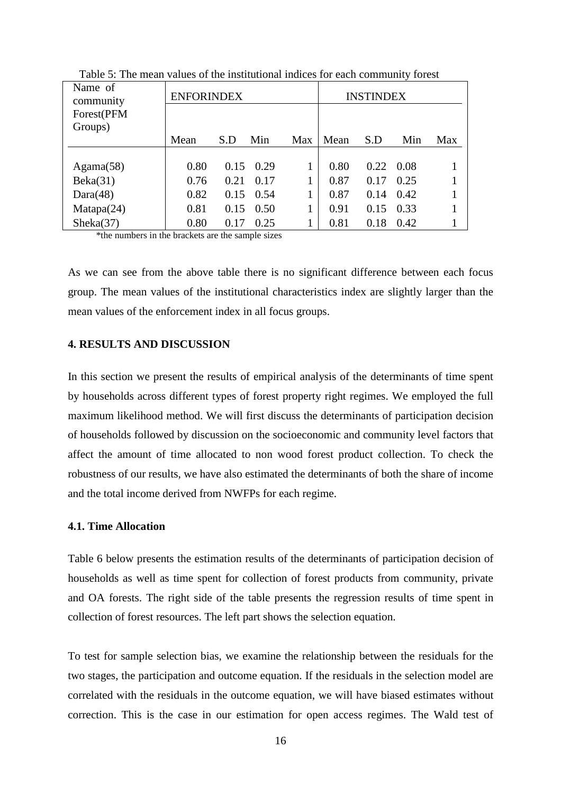| Name of<br>community<br>Forest(PFM | <b>ENFORINDEX</b> |      |      |     |      | <b>INSTINDEX</b> |      |     |
|------------------------------------|-------------------|------|------|-----|------|------------------|------|-----|
| Groups)                            | Mean              | S.D  | Min  | Max | Mean | S.D              | Min  | Max |
|                                    |                   |      |      |     |      |                  |      |     |
| Agama(58)                          | 0.80              | 0.15 | 0.29 |     | 0.80 | 0.22             | 0.08 |     |
| Beka(31)                           | 0.76              | 0.21 | 0.17 |     | 0.87 | 0.17             | 0.25 |     |
| Dara(48)                           | 0.82              | 0.15 | 0.54 |     | 0.87 | 0.14             | 0.42 |     |
| Matapa(24)                         | 0.81              | 0.15 | 0.50 |     | 0.91 | 0.15             | 0.33 |     |
| Sheka(37)                          | 0.80              | 0.17 | 0.25 |     | 0.81 | 0.18             | 0.42 |     |

Table 5: The mean values of the institutional indices for each community forest

\*the numbers in the brackets are the sample sizes

As we can see from the above table there is no significant difference between each focus group. The mean values of the institutional characteristics index are slightly larger than the mean values of the enforcement index in all focus groups.

# **4. RESULTS AND DISCUSSION**

In this section we present the results of empirical analysis of the determinants of time spent by households across different types of forest property right regimes. We employed the full maximum likelihood method. We will first discuss the determinants of participation decision of households followed by discussion on the socioeconomic and community level factors that affect the amount of time allocated to non wood forest product collection. To check the robustness of our results, we have also estimated the determinants of both the share of income and the total income derived from NWFPs for each regime.

# **4.1. Time Allocation**

Table 6 below presents the estimation results of the determinants of participation decision of households as well as time spent for collection of forest products from community, private and OA forests. The right side of the table presents the regression results of time spent in collection of forest resources. The left part shows the selection equation.

To test for sample selection bias, we examine the relationship between the residuals for the two stages, the participation and outcome equation. If the residuals in the selection model are correlated with the residuals in the outcome equation, we will have biased estimates without correction. This is the case in our estimation for open access regimes. The Wald test of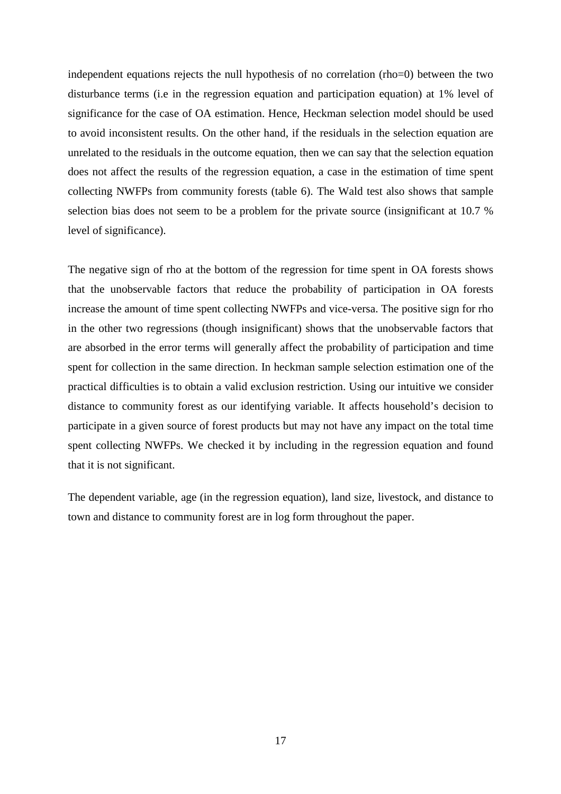independent equations rejects the null hypothesis of no correlation (rho=0) between the two disturbance terms (i.e in the regression equation and participation equation) at 1% level of significance for the case of OA estimation. Hence, Heckman selection model should be used to avoid inconsistent results. On the other hand, if the residuals in the selection equation are unrelated to the residuals in the outcome equation, then we can say that the selection equation does not affect the results of the regression equation, a case in the estimation of time spent collecting NWFPs from community forests (table 6). The Wald test also shows that sample selection bias does not seem to be a problem for the private source (insignificant at 10.7 % level of significance).

The negative sign of rho at the bottom of the regression for time spent in OA forests shows that the unobservable factors that reduce the probability of participation in OA forests increase the amount of time spent collecting NWFPs and vice-versa. The positive sign for rho in the other two regressions (though insignificant) shows that the unobservable factors that are absorbed in the error terms will generally affect the probability of participation and time spent for collection in the same direction. In heckman sample selection estimation one of the practical difficulties is to obtain a valid exclusion restriction. Using our intuitive we consider distance to community forest as our identifying variable. It affects household's decision to participate in a given source of forest products but may not have any impact on the total time spent collecting NWFPs. We checked it by including in the regression equation and found that it is not significant.

The dependent variable, age (in the regression equation), land size, livestock, and distance to town and distance to community forest are in log form throughout the paper.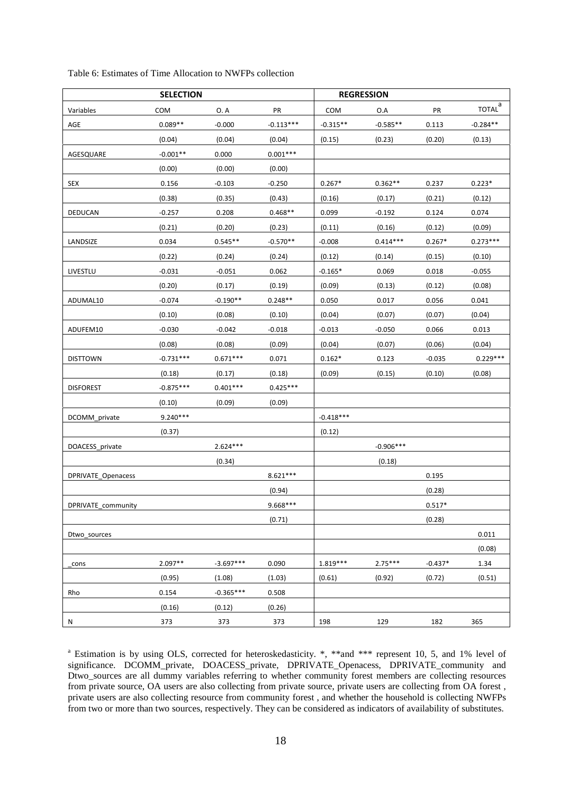|                           | <b>SELECTION</b> |             |             |             | <b>REGRESSION</b> |           |                              |
|---------------------------|------------------|-------------|-------------|-------------|-------------------|-----------|------------------------------|
| Variables                 | COM              | 0. A        | PR          | COM         | O.A               | PR        | $\underline{\text{total}}^a$ |
| AGE                       | $0.089**$        | $-0.000$    | $-0.113***$ | $-0.315**$  | $-0.585**$        | 0.113     | $-0.284**$                   |
|                           | (0.04)           | (0.04)      | (0.04)      | (0.15)      | (0.23)            | (0.20)    | (0.13)                       |
| AGESQUARE                 | $-0.001**$       | 0.000       | $0.001***$  |             |                   |           |                              |
|                           | (0.00)           | (0.00)      | (0.00)      |             |                   |           |                              |
| SEX                       | 0.156            | $-0.103$    | $-0.250$    | $0.267*$    | $0.362**$         | 0.237     | $0.223*$                     |
|                           | (0.38)           | (0.35)      | (0.43)      | (0.16)      | (0.17)            | (0.21)    | (0.12)                       |
| DEDUCAN                   | $-0.257$         | 0.208       | $0.468**$   | 0.099       | $-0.192$          | 0.124     | 0.074                        |
|                           | (0.21)           | (0.20)      | (0.23)      | (0.11)      | (0.16)            | (0.12)    | (0.09)                       |
| LANDSIZE                  | 0.034            | $0.545**$   | $-0.570**$  | $-0.008$    | $0.414***$        | $0.267*$  | $0.273***$                   |
|                           | (0.22)           | (0.24)      | (0.24)      | (0.12)      | (0.14)            | (0.15)    | (0.10)                       |
| LIVESTLU                  | $-0.031$         | $-0.051$    | 0.062       | $-0.165*$   | 0.069             | 0.018     | $-0.055$                     |
|                           | (0.20)           | (0.17)      | (0.19)      | (0.09)      | (0.13)            | (0.12)    | (0.08)                       |
| ADUMAL10                  | $-0.074$         | $-0.190**$  | $0.248**$   | 0.050       | 0.017             | 0.056     | 0.041                        |
|                           | (0.10)           | (0.08)      | (0.10)      | (0.04)      | (0.07)            | (0.07)    | (0.04)                       |
| ADUFEM10                  | $-0.030$         | $-0.042$    | $-0.018$    | $-0.013$    | $-0.050$          | 0.066     | 0.013                        |
|                           | (0.08)           | (0.08)      | (0.09)      | (0.04)      | (0.07)            | (0.06)    | (0.04)                       |
| <b>DISTTOWN</b>           | $-0.731***$      | $0.671***$  | 0.071       | $0.162*$    | 0.123             | $-0.035$  | $0.229***$                   |
|                           | (0.18)           | (0.17)      | (0.18)      | (0.09)      | (0.15)            | (0.10)    | (0.08)                       |
| <b>DISFOREST</b>          | $-0.875***$      | $0.401***$  | $0.425***$  |             |                   |           |                              |
|                           | (0.10)           | (0.09)      | (0.09)      |             |                   |           |                              |
| DCOMM private             | $9.240***$       |             |             | $-0.418***$ |                   |           |                              |
|                           | (0.37)           |             |             | (0.12)      |                   |           |                              |
| DOACESS private           |                  | $2.624***$  |             |             | $-0.906***$       |           |                              |
|                           |                  | (0.34)      |             |             | (0.18)            |           |                              |
| <b>DPRIVATE Openacess</b> |                  |             | $8.621***$  |             |                   | 0.195     |                              |
|                           |                  |             | (0.94)      |             |                   | (0.28)    |                              |
| DPRIVATE_community        |                  |             | $9.668***$  |             |                   | $0.517*$  |                              |
|                           |                  |             | (0.71)      |             |                   | (0.28)    |                              |
| Dtwo sources              |                  |             |             |             |                   |           | 0.011                        |
|                           |                  |             |             |             |                   |           | (0.08)                       |
| cons                      | $2.097**$        | $-3.697***$ | 0.090       | 1.819***    | $2.75***$         | $-0.437*$ | 1.34                         |
|                           | (0.95)           | (1.08)      | (1.03)      | (0.61)      | (0.92)            | (0.72)    | (0.51)                       |
| Rho                       | 0.154            | $-0.365***$ | 0.508       |             |                   |           |                              |
|                           | (0.16)           | (0.12)      | (0.26)      |             |                   |           |                              |
| N                         | 373              | 373         | 373         | 198         | 129               | 182       | 365                          |

Table 6: Estimates of Time Allocation to NWFPs collection

<sup>a</sup> Estimation is by using OLS, corrected for heteroskedasticity. \*, \*\*and \*\*\* represent 10, 5, and 1% level of significance. DCOMM\_private, DOACESS\_private, DPRIVATE\_Openacess, DPRIVATE\_community and Dtwo sources are all dummy variables referring to whether community forest members are collecting resources from private source, OA users are also collecting from private source, private users are collecting from OA forest , private users are also collecting resource from community forest , and whether the household is collecting NWFPs from two or more than two sources, respectively. They can be considered as indicators of availability of substitutes.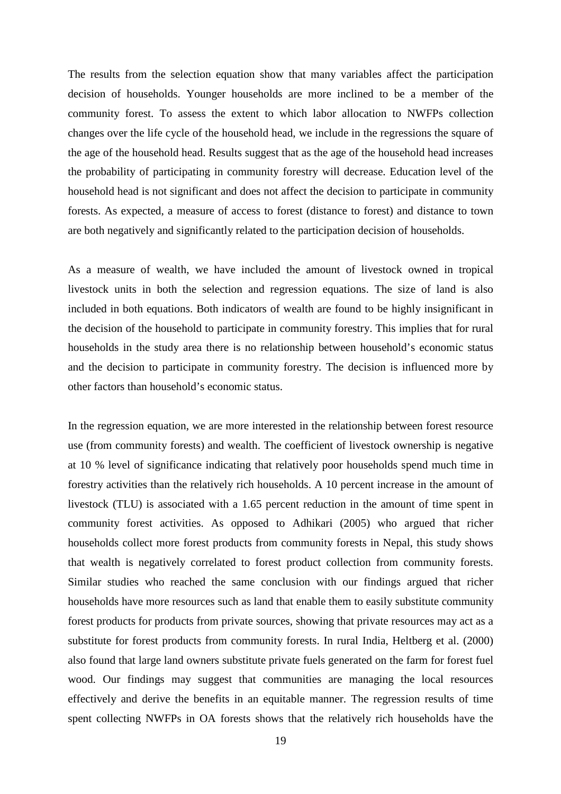The results from the selection equation show that many variables affect the participation decision of households. Younger households are more inclined to be a member of the community forest. To assess the extent to which labor allocation to NWFPs collection changes over the life cycle of the household head, we include in the regressions the square of the age of the household head. Results suggest that as the age of the household head increases the probability of participating in community forestry will decrease. Education level of the household head is not significant and does not affect the decision to participate in community forests. As expected, a measure of access to forest (distance to forest) and distance to town are both negatively and significantly related to the participation decision of households.

As a measure of wealth, we have included the amount of livestock owned in tropical livestock units in both the selection and regression equations. The size of land is also included in both equations. Both indicators of wealth are found to be highly insignificant in the decision of the household to participate in community forestry. This implies that for rural households in the study area there is no relationship between household's economic status and the decision to participate in community forestry. The decision is influenced more by other factors than household's economic status.

In the regression equation, we are more interested in the relationship between forest resource use (from community forests) and wealth. The coefficient of livestock ownership is negative at 10 % level of significance indicating that relatively poor households spend much time in forestry activities than the relatively rich households. A 10 percent increase in the amount of livestock (TLU) is associated with a 1.65 percent reduction in the amount of time spent in community forest activities. As opposed to Adhikari (2005) who argued that richer households collect more forest products from community forests in Nepal, this study shows that wealth is negatively correlated to forest product collection from community forests. Similar studies who reached the same conclusion with our findings argued that richer households have more resources such as land that enable them to easily substitute community forest products for products from private sources, showing that private resources may act as a substitute for forest products from community forests. In rural India, Heltberg et al. (2000) also found that large land owners substitute private fuels generated on the farm for forest fuel wood. Our findings may suggest that communities are managing the local resources effectively and derive the benefits in an equitable manner. The regression results of time spent collecting NWFPs in OA forests shows that the relatively rich households have the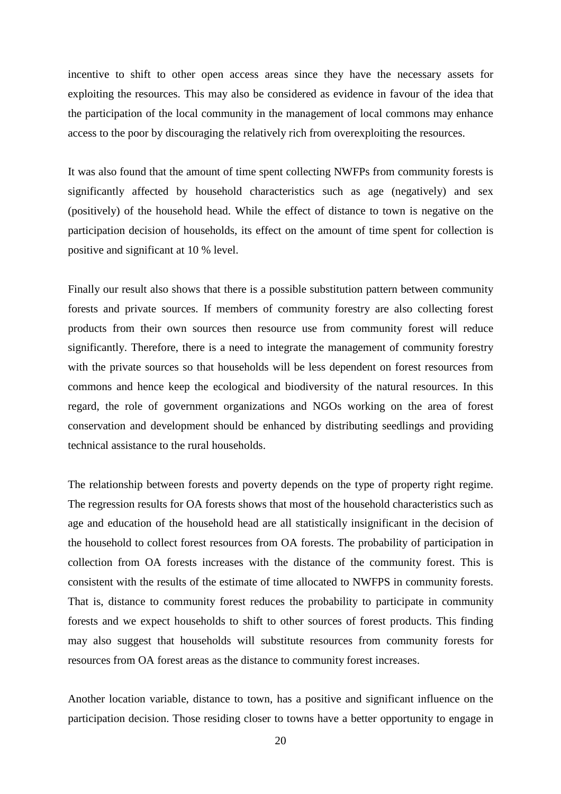incentive to shift to other open access areas since they have the necessary assets for exploiting the resources. This may also be considered as evidence in favour of the idea that the participation of the local community in the management of local commons may enhance access to the poor by discouraging the relatively rich from overexploiting the resources.

It was also found that the amount of time spent collecting NWFPs from community forests is significantly affected by household characteristics such as age (negatively) and sex (positively) of the household head. While the effect of distance to town is negative on the participation decision of households, its effect on the amount of time spent for collection is positive and significant at 10 % level.

Finally our result also shows that there is a possible substitution pattern between community forests and private sources. If members of community forestry are also collecting forest products from their own sources then resource use from community forest will reduce significantly. Therefore, there is a need to integrate the management of community forestry with the private sources so that households will be less dependent on forest resources from commons and hence keep the ecological and biodiversity of the natural resources. In this regard, the role of government organizations and NGOs working on the area of forest conservation and development should be enhanced by distributing seedlings and providing technical assistance to the rural households.

The relationship between forests and poverty depends on the type of property right regime. The regression results for OA forests shows that most of the household characteristics such as age and education of the household head are all statistically insignificant in the decision of the household to collect forest resources from OA forests. The probability of participation in collection from OA forests increases with the distance of the community forest. This is consistent with the results of the estimate of time allocated to NWFPS in community forests. That is, distance to community forest reduces the probability to participate in community forests and we expect households to shift to other sources of forest products. This finding may also suggest that households will substitute resources from community forests for resources from OA forest areas as the distance to community forest increases.

Another location variable, distance to town, has a positive and significant influence on the participation decision. Those residing closer to towns have a better opportunity to engage in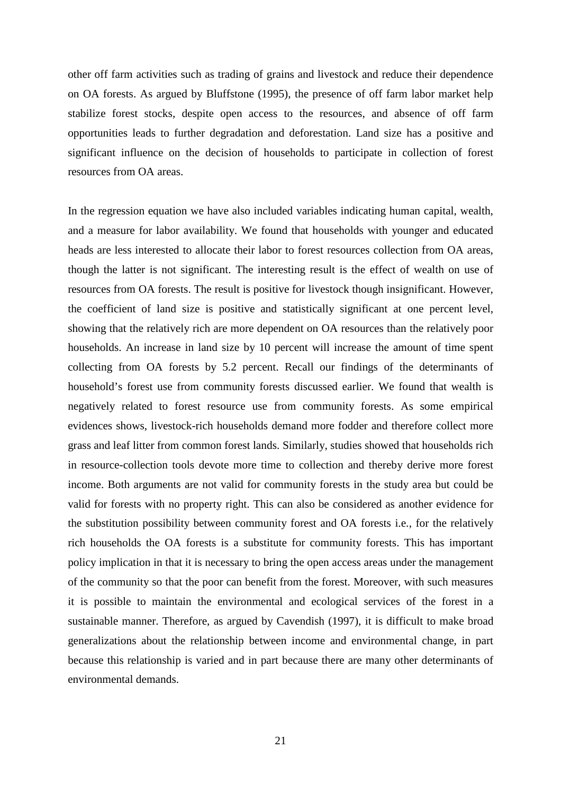other off farm activities such as trading of grains and livestock and reduce their dependence on OA forests. As argued by Bluffstone (1995), the presence of off farm labor market help stabilize forest stocks, despite open access to the resources, and absence of off farm opportunities leads to further degradation and deforestation. Land size has a positive and significant influence on the decision of households to participate in collection of forest resources from OA areas.

In the regression equation we have also included variables indicating human capital, wealth, and a measure for labor availability. We found that households with younger and educated heads are less interested to allocate their labor to forest resources collection from OA areas, though the latter is not significant. The interesting result is the effect of wealth on use of resources from OA forests. The result is positive for livestock though insignificant. However, the coefficient of land size is positive and statistically significant at one percent level, showing that the relatively rich are more dependent on OA resources than the relatively poor households. An increase in land size by 10 percent will increase the amount of time spent collecting from OA forests by 5.2 percent. Recall our findings of the determinants of household's forest use from community forests discussed earlier. We found that wealth is negatively related to forest resource use from community forests. As some empirical evidences shows, livestock-rich households demand more fodder and therefore collect more grass and leaf litter from common forest lands. Similarly, studies showed that households rich in resource-collection tools devote more time to collection and thereby derive more forest income. Both arguments are not valid for community forests in the study area but could be valid for forests with no property right. This can also be considered as another evidence for the substitution possibility between community forest and OA forests i.e., for the relatively rich households the OA forests is a substitute for community forests. This has important policy implication in that it is necessary to bring the open access areas under the management of the community so that the poor can benefit from the forest. Moreover, with such measures it is possible to maintain the environmental and ecological services of the forest in a sustainable manner. Therefore, as argued by Cavendish (1997), it is difficult to make broad generalizations about the relationship between income and environmental change, in part because this relationship is varied and in part because there are many other determinants of environmental demands.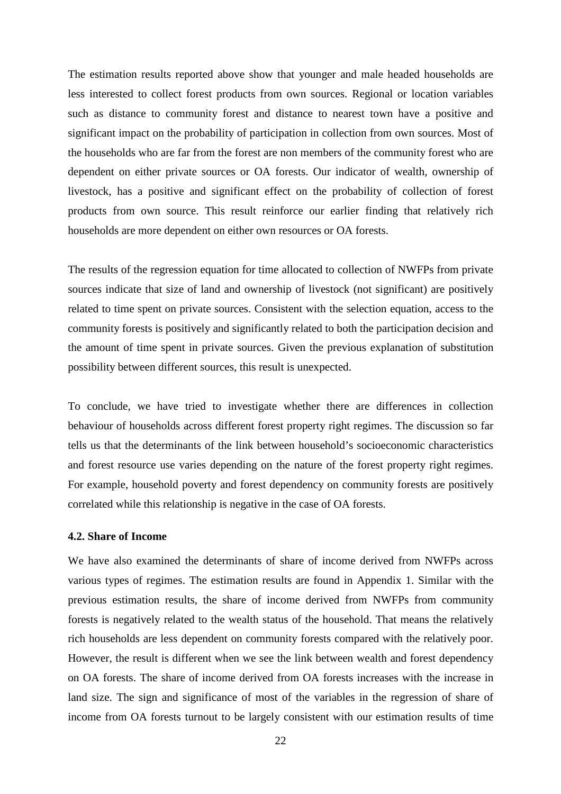The estimation results reported above show that younger and male headed households are less interested to collect forest products from own sources. Regional or location variables such as distance to community forest and distance to nearest town have a positive and significant impact on the probability of participation in collection from own sources. Most of the households who are far from the forest are non members of the community forest who are dependent on either private sources or OA forests. Our indicator of wealth, ownership of livestock, has a positive and significant effect on the probability of collection of forest products from own source. This result reinforce our earlier finding that relatively rich households are more dependent on either own resources or OA forests.

The results of the regression equation for time allocated to collection of NWFPs from private sources indicate that size of land and ownership of livestock (not significant) are positively related to time spent on private sources. Consistent with the selection equation, access to the community forests is positively and significantly related to both the participation decision and the amount of time spent in private sources. Given the previous explanation of substitution possibility between different sources, this result is unexpected.

To conclude, we have tried to investigate whether there are differences in collection behaviour of households across different forest property right regimes. The discussion so far tells us that the determinants of the link between household's socioeconomic characteristics and forest resource use varies depending on the nature of the forest property right regimes. For example, household poverty and forest dependency on community forests are positively correlated while this relationship is negative in the case of OA forests.

# **4.2. Share of Income**

We have also examined the determinants of share of income derived from NWFPs across various types of regimes. The estimation results are found in Appendix 1. Similar with the previous estimation results, the share of income derived from NWFPs from community forests is negatively related to the wealth status of the household. That means the relatively rich households are less dependent on community forests compared with the relatively poor. However, the result is different when we see the link between wealth and forest dependency on OA forests. The share of income derived from OA forests increases with the increase in land size. The sign and significance of most of the variables in the regression of share of income from OA forests turnout to be largely consistent with our estimation results of time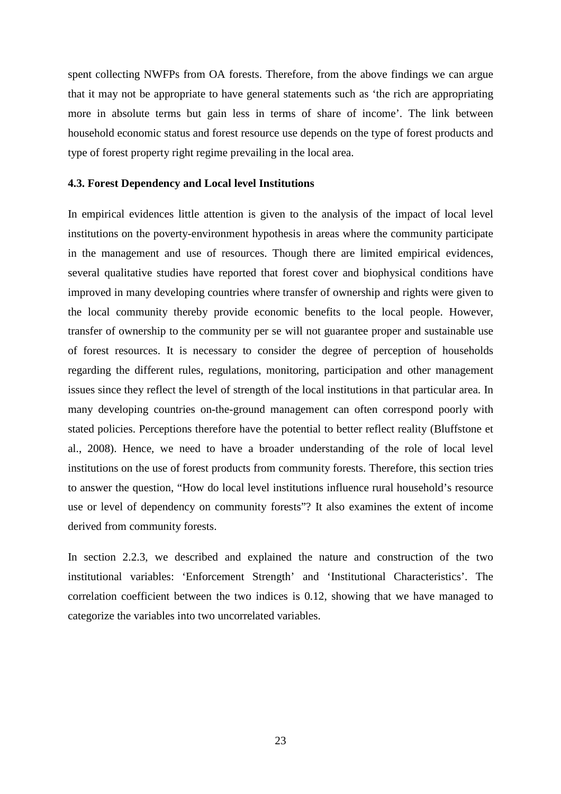spent collecting NWFPs from OA forests. Therefore, from the above findings we can argue that it may not be appropriate to have general statements such as 'the rich are appropriating more in absolute terms but gain less in terms of share of income'. The link between household economic status and forest resource use depends on the type of forest products and type of forest property right regime prevailing in the local area.

# **4.3. Forest Dependency and Local level Institutions**

In empirical evidences little attention is given to the analysis of the impact of local level institutions on the poverty-environment hypothesis in areas where the community participate in the management and use of resources. Though there are limited empirical evidences, several qualitative studies have reported that forest cover and biophysical conditions have improved in many developing countries where transfer of ownership and rights were given to the local community thereby provide economic benefits to the local people. However, transfer of ownership to the community per se will not guarantee proper and sustainable use of forest resources. It is necessary to consider the degree of perception of households regarding the different rules, regulations, monitoring, participation and other management issues since they reflect the level of strength of the local institutions in that particular area. In many developing countries on-the-ground management can often correspond poorly with stated policies. Perceptions therefore have the potential to better reflect reality (Bluffstone et al., 2008). Hence, we need to have a broader understanding of the role of local level institutions on the use of forest products from community forests. Therefore, this section tries to answer the question, "How do local level institutions influence rural household's resource use or level of dependency on community forests"? It also examines the extent of income derived from community forests.

In section 2.2.3, we described and explained the nature and construction of the two institutional variables: 'Enforcement Strength' and 'Institutional Characteristics'. The correlation coefficient between the two indices is 0.12, showing that we have managed to categorize the variables into two uncorrelated variables.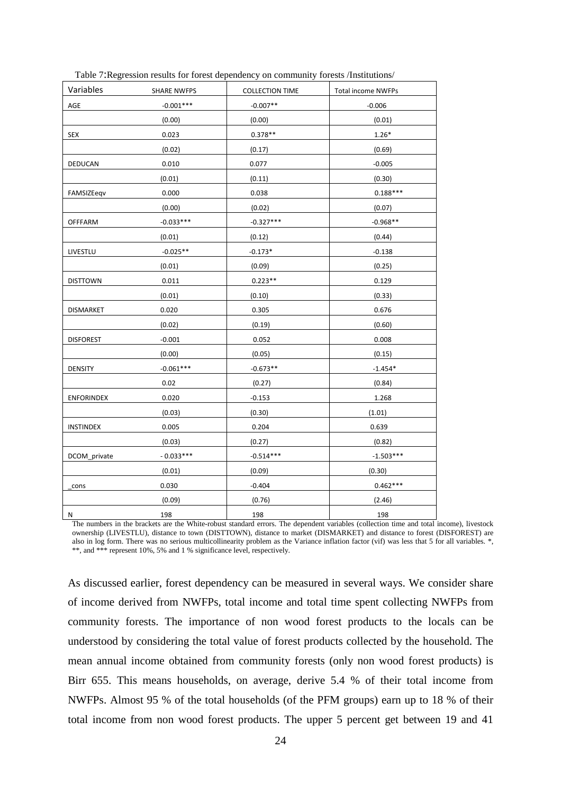| Variables        | <b>SHARE NWFPS</b> | <b>COLLECTION TIME</b> | <b>Total income NWFPs</b> |
|------------------|--------------------|------------------------|---------------------------|
| $\mathsf{AGE}$   | $-0.001***$        | $-0.007**$             | $-0.006$                  |
|                  | (0.00)             | (0.00)                 | (0.01)                    |
| <b>SEX</b>       | 0.023              | $0.378**$              | $1.26*$                   |
|                  | (0.02)             | (0.17)                 | (0.69)                    |
| DEDUCAN          | 0.010              | 0.077                  | $-0.005$                  |
|                  | (0.01)             | (0.11)                 | (0.30)                    |
| FAMSIZEeqv       | 0.000              | 0.038                  | $0.188***$                |
|                  | (0.00)             | (0.02)                 | (0.07)                    |
| <b>OFFFARM</b>   | $-0.033***$        | $-0.327***$            | $-0.968**$                |
|                  | (0.01)             | (0.12)                 | (0.44)                    |
| LIVESTLU         | $-0.025**$         | $-0.173*$              | $-0.138$                  |
|                  | (0.01)             | (0.09)                 | (0.25)                    |
| <b>DISTTOWN</b>  | 0.011              | $0.223**$              | 0.129                     |
|                  | (0.01)             | (0.10)                 | (0.33)                    |
| <b>DISMARKET</b> | 0.020              | 0.305                  | 0.676                     |
|                  | (0.02)             | (0.19)                 | (0.60)                    |
| <b>DISFOREST</b> | $-0.001$           | 0.052                  | 0.008                     |
|                  | (0.00)             | (0.05)                 | (0.15)                    |
| <b>DENSITY</b>   | $-0.061***$        | $-0.673**$             | $-1.454*$                 |
|                  | 0.02               | (0.27)                 | (0.84)                    |
| ENFORINDEX       | 0.020              | $-0.153$               | 1.268                     |
|                  | (0.03)             | (0.30)                 | (1.01)                    |
| <b>INSTINDEX</b> | 0.005              | 0.204                  | 0.639                     |
|                  | (0.03)             | (0.27)                 | (0.82)                    |
| DCOM_private     | $-0.033***$        | $-0.514***$            | $-1.503***$               |
|                  | (0.01)             | (0.09)                 | (0.30)                    |
| cons             | 0.030              | $-0.404$               | $0.462***$                |
|                  | (0.09)             | (0.76)                 | (2.46)                    |
| N                | 198                | 198                    | 198                       |

Table 7:Regression results for forest dependency on community forests /Institutions/

The numbers in the brackets are the White-robust standard errors. The dependent variables (collection time and total income), livestock ownership (LIVESTLU), distance to town (DISTTOWN), distance to market (DISMARKET) and distance to forest (DISFOREST) are also in log form. There was no serious multicollinearity problem as the Variance inflation factor (vif) was less that 5 for all variables. \*, \*\*, and \*\*\* represent 10%, 5% and 1 % significance level, respectively.

As discussed earlier, forest dependency can be measured in several ways. We consider share of income derived from NWFPs, total income and total time spent collecting NWFPs from community forests. The importance of non wood forest products to the locals can be understood by considering the total value of forest products collected by the household. The mean annual income obtained from community forests (only non wood forest products) is Birr 655. This means households, on average, derive 5.4 % of their total income from NWFPs. Almost 95 % of the total households (of the PFM groups) earn up to 18 % of their total income from non wood forest products. The upper 5 percent get between 19 and 41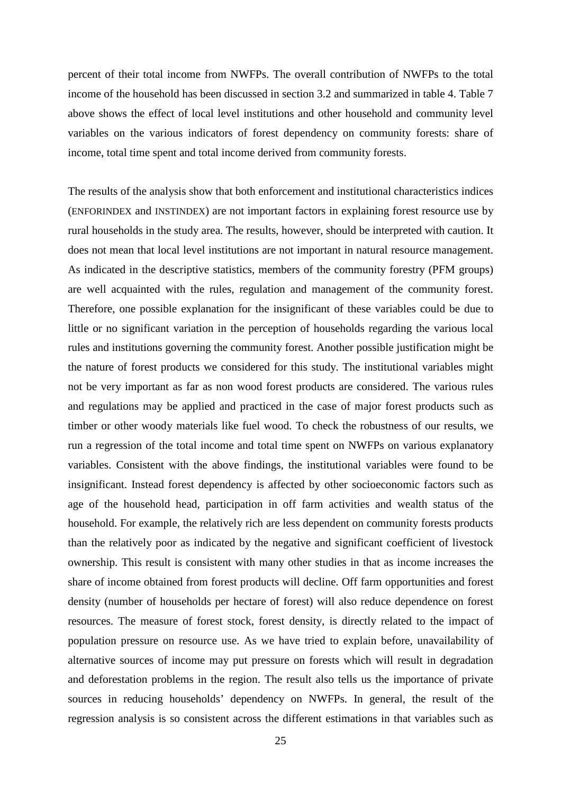percent of their total income from NWFPs. The overall contribution of NWFPs to the total income of the household has been discussed in section 3.2 and summarized in table 4. Table 7 above shows the effect of local level institutions and other household and community level variables on the various indicators of forest dependency on community forests: share of income, total time spent and total income derived from community forests.

The results of the analysis show that both enforcement and institutional characteristics indices (ENFORINDEX and INSTINDEX) are not important factors in explaining forest resource use by rural households in the study area. The results, however, should be interpreted with caution. It does not mean that local level institutions are not important in natural resource management. As indicated in the descriptive statistics, members of the community forestry (PFM groups) are well acquainted with the rules, regulation and management of the community forest. Therefore, one possible explanation for the insignificant of these variables could be due to little or no significant variation in the perception of households regarding the various local rules and institutions governing the community forest. Another possible justification might be the nature of forest products we considered for this study. The institutional variables might not be very important as far as non wood forest products are considered. The various rules and regulations may be applied and practiced in the case of major forest products such as timber or other woody materials like fuel wood. To check the robustness of our results, we run a regression of the total income and total time spent on NWFPs on various explanatory variables. Consistent with the above findings, the institutional variables were found to be insignificant. Instead forest dependency is affected by other socioeconomic factors such as age of the household head, participation in off farm activities and wealth status of the household. For example, the relatively rich are less dependent on community forests products than the relatively poor as indicated by the negative and significant coefficient of livestock ownership. This result is consistent with many other studies in that as income increases the share of income obtained from forest products will decline. Off farm opportunities and forest density (number of households per hectare of forest) will also reduce dependence on forest resources. The measure of forest stock, forest density, is directly related to the impact of population pressure on resource use. As we have tried to explain before, unavailability of alternative sources of income may put pressure on forests which will result in degradation and deforestation problems in the region. The result also tells us the importance of private sources in reducing households' dependency on NWFPs. In general, the result of the regression analysis is so consistent across the different estimations in that variables such as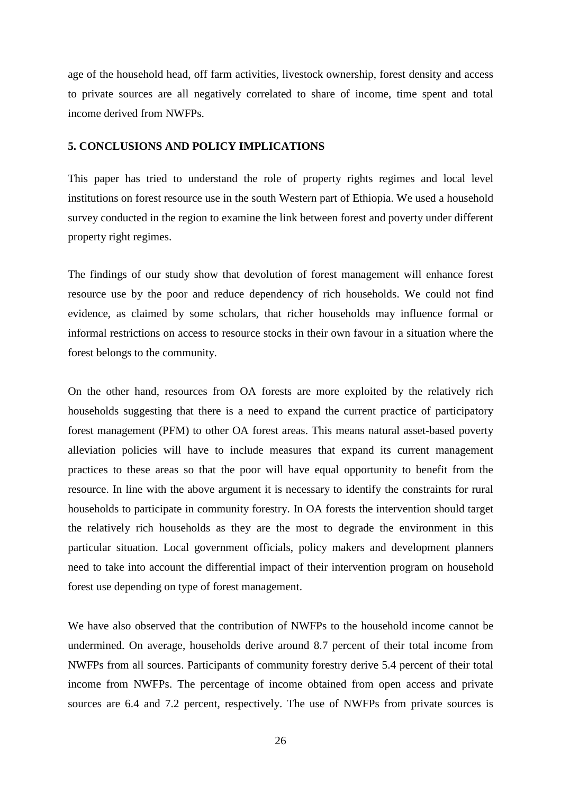age of the household head, off farm activities, livestock ownership, forest density and access to private sources are all negatively correlated to share of income, time spent and total income derived from NWFPs.

# **5. CONCLUSIONS AND POLICY IMPLICATIONS**

This paper has tried to understand the role of property rights regimes and local level institutions on forest resource use in the south Western part of Ethiopia. We used a household survey conducted in the region to examine the link between forest and poverty under different property right regimes.

The findings of our study show that devolution of forest management will enhance forest resource use by the poor and reduce dependency of rich households. We could not find evidence, as claimed by some scholars, that richer households may influence formal or informal restrictions on access to resource stocks in their own favour in a situation where the forest belongs to the community.

On the other hand, resources from OA forests are more exploited by the relatively rich households suggesting that there is a need to expand the current practice of participatory forest management (PFM) to other OA forest areas. This means natural asset-based poverty alleviation policies will have to include measures that expand its current management practices to these areas so that the poor will have equal opportunity to benefit from the resource. In line with the above argument it is necessary to identify the constraints for rural households to participate in community forestry. In OA forests the intervention should target the relatively rich households as they are the most to degrade the environment in this particular situation. Local government officials, policy makers and development planners need to take into account the differential impact of their intervention program on household forest use depending on type of forest management.

We have also observed that the contribution of NWFPs to the household income cannot be undermined. On average, households derive around 8.7 percent of their total income from NWFPs from all sources. Participants of community forestry derive 5.4 percent of their total income from NWFPs. The percentage of income obtained from open access and private sources are 6.4 and 7.2 percent, respectively. The use of NWFPs from private sources is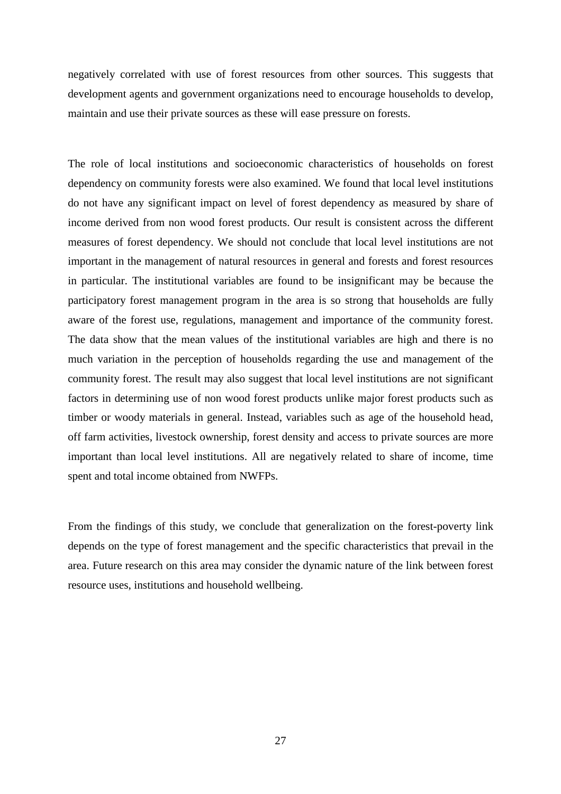negatively correlated with use of forest resources from other sources. This suggests that development agents and government organizations need to encourage households to develop, maintain and use their private sources as these will ease pressure on forests.

The role of local institutions and socioeconomic characteristics of households on forest dependency on community forests were also examined. We found that local level institutions do not have any significant impact on level of forest dependency as measured by share of income derived from non wood forest products. Our result is consistent across the different measures of forest dependency. We should not conclude that local level institutions are not important in the management of natural resources in general and forests and forest resources in particular. The institutional variables are found to be insignificant may be because the participatory forest management program in the area is so strong that households are fully aware of the forest use, regulations, management and importance of the community forest. The data show that the mean values of the institutional variables are high and there is no much variation in the perception of households regarding the use and management of the community forest. The result may also suggest that local level institutions are not significant factors in determining use of non wood forest products unlike major forest products such as timber or woody materials in general. Instead, variables such as age of the household head, off farm activities, livestock ownership, forest density and access to private sources are more important than local level institutions. All are negatively related to share of income, time spent and total income obtained from NWFPs.

From the findings of this study, we conclude that generalization on the forest-poverty link depends on the type of forest management and the specific characteristics that prevail in the area. Future research on this area may consider the dynamic nature of the link between forest resource uses, institutions and household wellbeing.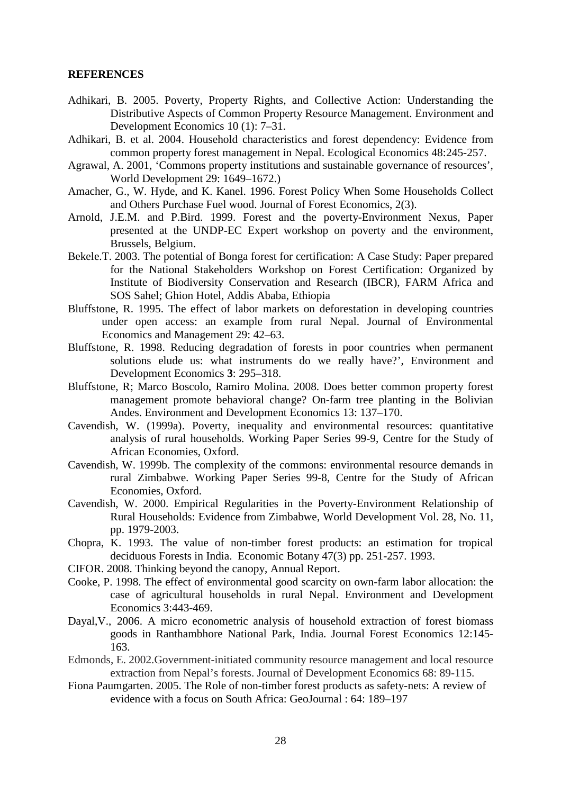#### **REFERENCES**

- Adhikari, B. 2005. Poverty, Property Rights, and Collective Action: Understanding the Distributive Aspects of Common Property Resource Management. Environment and Development Economics 10 (1): 7–31.
- Adhikari, B. et al. 2004. Household characteristics and forest dependency: Evidence from common property forest management in Nepal. Ecological Economics 48:245-257.
- Agrawal, A. 2001, 'Commons property institutions and sustainable governance of resources', World Development 29: 1649–1672.)
- Amacher, G., W. Hyde, and K. Kanel. 1996. Forest Policy When Some Households Collect and Others Purchase Fuel wood. Journal of Forest Economics, 2(3).
- Arnold, J.E.M. and P.Bird. 1999. Forest and the poverty-Environment Nexus, Paper presented at the UNDP-EC Expert workshop on poverty and the environment, Brussels, Belgium.
- Bekele.T. 2003. The potential of Bonga forest for certification: A Case Study: Paper prepared for the National Stakeholders Workshop on Forest Certification: Organized by Institute of Biodiversity Conservation and Research (IBCR), FARM Africa and SOS Sahel; Ghion Hotel, Addis Ababa, Ethiopia
- Bluffstone, R. 1995. The effect of labor markets on deforestation in developing countries under open access: an example from rural Nepal. Journal of Environmental Economics and Management 29: 42–63.
- Bluffstone, R. 1998. Reducing degradation of forests in poor countries when permanent solutions elude us: what instruments do we really have?', Environment and Development Economics **3**: 295–318.
- Bluffstone, R; Marco Boscolo, Ramiro Molina. 2008. Does better common property forest management promote behavioral change? On-farm tree planting in the Bolivian Andes. Environment and Development Economics 13: 137–170.
- Cavendish, W. (1999a). Poverty, inequality and environmental resources: quantitative analysis of rural households. Working Paper Series 99-9, Centre for the Study of African Economies, Oxford.
- Cavendish, W. 1999b. The complexity of the commons: environmental resource demands in rural Zimbabwe. Working Paper Series 99-8, Centre for the Study of African Economies, Oxford.
- Cavendish, W. 2000. Empirical Regularities in the Poverty-Environment Relationship of Rural Households: Evidence from Zimbabwe, World Development Vol. 28, No. 11, pp. 1979-2003.
- Chopra, K. 1993. The value of non-timber forest products: an estimation for tropical deciduous Forests in India. Economic Botany 47(3) pp. 251-257. 1993.
- CIFOR. 2008. Thinking beyond the canopy, Annual Report.
- Cooke, P. 1998. The effect of environmental good scarcity on own-farm labor allocation: the case of agricultural households in rural Nepal. Environment and Development Economics 3:443-469.
- Dayal,V., 2006. A micro econometric analysis of household extraction of forest biomass goods in Ranthambhore National Park, India. Journal Forest Economics 12:145- 163.
- Edmonds, E. 2002.Government-initiated community resource management and local resource extraction from Nepal's forests. Journal of Development Economics 68: 89-115.
- Fiona Paumgarten. 2005. The Role of non-timber forest products as safety-nets: A review of evidence with a focus on South Africa: GeoJournal : 64: 189–197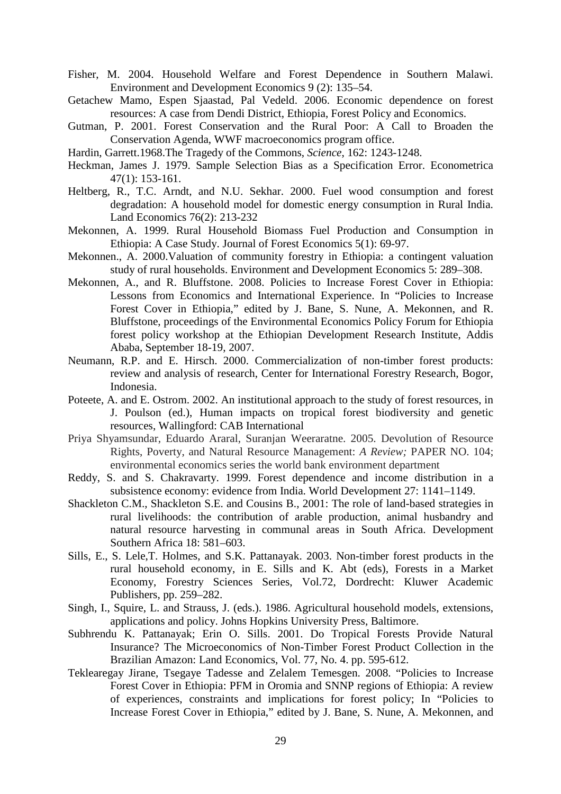- Fisher, M. 2004. Household Welfare and Forest Dependence in Southern Malawi. Environment and Development Economics 9 (2): 135–54.
- Getachew Mamo, Espen Sjaastad, Pal Vedeld. 2006. Economic dependence on forest resources: A case from Dendi District, Ethiopia, Forest Policy and Economics.
- Gutman, P. 2001. Forest Conservation and the Rural Poor: A Call to Broaden the Conservation Agenda, WWF macroeconomics program office.
- Hardin, Garrett.1968.The Tragedy of the Commons, *Science*, 162: 1243-1248.
- Heckman, James J. 1979. Sample Selection Bias as a Specification Error. Econometrica 47(1): 153-161.
- Heltberg, R., T.C. Arndt, and N.U. Sekhar. 2000. Fuel wood consumption and forest degradation: A household model for domestic energy consumption in Rural India. Land Economics 76(2): 213-232
- Mekonnen, A. 1999. Rural Household Biomass Fuel Production and Consumption in Ethiopia: A Case Study. Journal of Forest Economics 5(1): 69-97.
- Mekonnen., A. 2000.Valuation of community forestry in Ethiopia: a contingent valuation study of rural households. Environment and Development Economics 5: 289–308.
- Mekonnen, A., and R. Bluffstone. 2008. Policies to Increase Forest Cover in Ethiopia: Lessons from Economics and International Experience. In "Policies to Increase Forest Cover in Ethiopia," edited by J. Bane, S. Nune, A. Mekonnen, and R. Bluffstone, proceedings of the Environmental Economics Policy Forum for Ethiopia forest policy workshop at the Ethiopian Development Research Institute, Addis Ababa, September 18-19, 2007.
- Neumann, R.P. and E. Hirsch. 2000. Commercialization of non-timber forest products: review and analysis of research, Center for International Forestry Research, Bogor, Indonesia.
- Poteete, A. and E. Ostrom. 2002. An institutional approach to the study of forest resources, in J. Poulson (ed.), Human impacts on tropical forest biodiversity and genetic resources, Wallingford: CAB International
- Priya Shyamsundar, Eduardo Araral, Suranjan Weeraratne. 2005. Devolution of Resource Rights, Poverty, and Natural Resource Management: *A Review;* PAPER NO. 104; environmental economics series the world bank environment department
- Reddy, S. and S. Chakravarty. 1999. Forest dependence and income distribution in a subsistence economy: evidence from India. World Development 27: 1141–1149.
- Shackleton C.M., Shackleton S.E. and Cousins B., 2001: The role of land-based strategies in rural livelihoods: the contribution of arable production, animal husbandry and natural resource harvesting in communal areas in South Africa. Development Southern Africa 18: 581–603.
- Sills, E., S. Lele,T. Holmes, and S.K. Pattanayak. 2003. Non-timber forest products in the rural household economy, in E. Sills and K. Abt (eds), Forests in a Market Economy, Forestry Sciences Series, Vol.72, Dordrecht: Kluwer Academic Publishers, pp. 259–282.
- Singh, I., Squire, L. and Strauss, J. (eds.). 1986. Agricultural household models, extensions, applications and policy. Johns Hopkins University Press, Baltimore.
- Subhrendu K. Pattanayak; Erin O. Sills. 2001. Do Tropical Forests Provide Natural Insurance? The Microeconomics of Non-Timber Forest Product Collection in the Brazilian Amazon: Land Economics, Vol. 77, No. 4. pp. 595-612.
- Teklearegay Jirane, Tsegaye Tadesse and Zelalem Temesgen. 2008. "Policies to Increase Forest Cover in Ethiopia: PFM in Oromia and SNNP regions of Ethiopia: A review of experiences, constraints and implications for forest policy; In "Policies to Increase Forest Cover in Ethiopia," edited by J. Bane, S. Nune, A. Mekonnen, and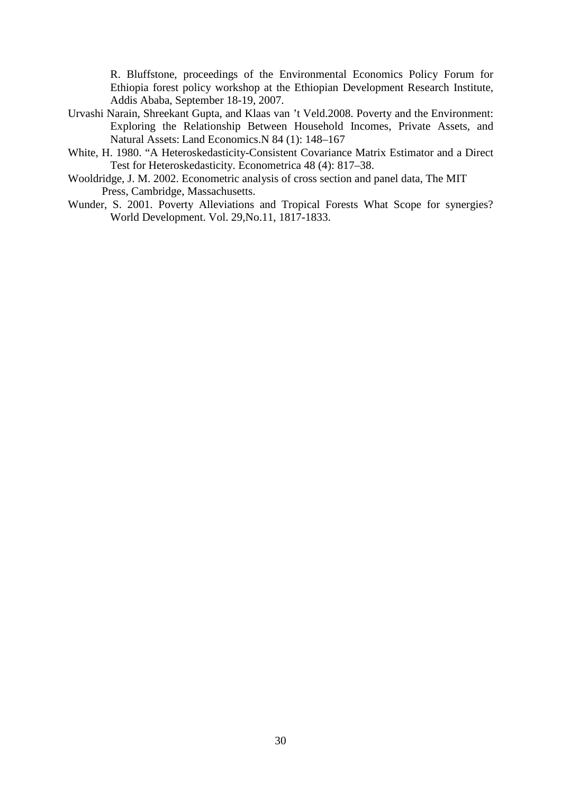R. Bluffstone, proceedings of the Environmental Economics Policy Forum for Ethiopia forest policy workshop at the Ethiopian Development Research Institute, Addis Ababa, September 18-19, 2007.

- Urvashi Narain, Shreekant Gupta, and Klaas van 't Veld.2008. Poverty and the Environment: Exploring the Relationship Between Household Incomes, Private Assets, and Natural Assets: Land Economics.N 84 (1): 148–167
- White, H. 1980. "A Heteroskedasticity-Consistent Covariance Matrix Estimator and a Direct Test for Heteroskedasticity. Econometrica 48 (4): 817–38.
- Wooldridge, J. M. 2002. Econometric analysis of cross section and panel data, The MIT Press, Cambridge, Massachusetts.
- Wunder, S. 2001. Poverty Alleviations and Tropical Forests What Scope for synergies? World Development. Vol. 29,No.11, 1817-1833.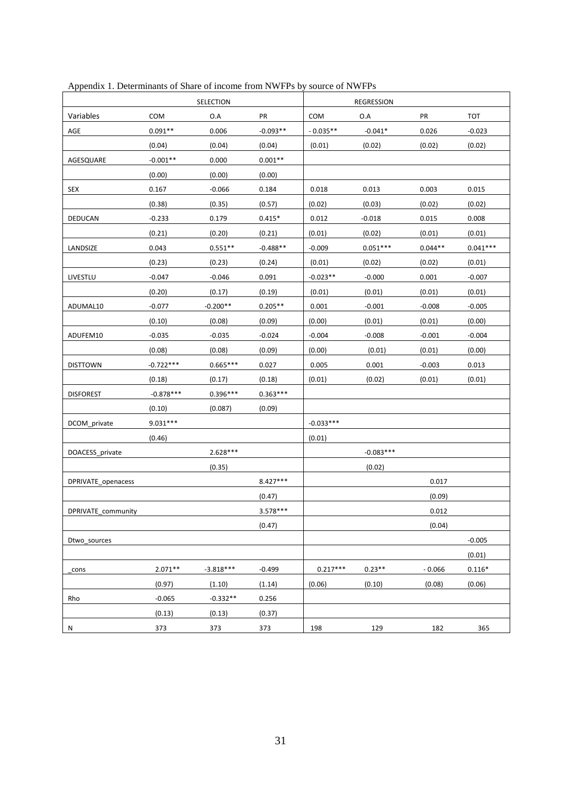|                    |             | SELECTION   |            |             | <b>REGRESSION</b> |           |            |
|--------------------|-------------|-------------|------------|-------------|-------------------|-----------|------------|
| Variables          | COM         | O.A         | PR         | COM         | O.A               | PR        | <b>TOT</b> |
| AGE                | $0.091**$   | 0.006       | $-0.093**$ | $-0.035**$  | $-0.041*$         | 0.026     | $-0.023$   |
|                    | (0.04)      | (0.04)      | (0.04)     | (0.01)      | (0.02)            | (0.02)    | (0.02)     |
| AGESQUARE          | $-0.001**$  | 0.000       | $0.001**$  |             |                   |           |            |
|                    | (0.00)      | (0.00)      | (0.00)     |             |                   |           |            |
| SEX                | 0.167       | $-0.066$    | 0.184      | 0.018       | 0.013             | 0.003     | 0.015      |
|                    | (0.38)      | (0.35)      | (0.57)     | (0.02)      | (0.03)            | (0.02)    | (0.02)     |
| DEDUCAN            | $-0.233$    | 0.179       | $0.415*$   | 0.012       | $-0.018$          | 0.015     | 0.008      |
|                    | (0.21)      | (0.20)      | (0.21)     | (0.01)      | (0.02)            | (0.01)    | (0.01)     |
| LANDSIZE           | 0.043       | $0.551**$   | $-0.488**$ | $-0.009$    | $0.051***$        | $0.044**$ | $0.041***$ |
|                    | (0.23)      | (0.23)      | (0.24)     | (0.01)      | (0.02)            | (0.02)    | (0.01)     |
| LIVESTLU           | $-0.047$    | $-0.046$    | 0.091      | $-0.023**$  | $-0.000$          | 0.001     | $-0.007$   |
|                    | (0.20)      | (0.17)      | (0.19)     | (0.01)      | (0.01)            | (0.01)    | (0.01)     |
| ADUMAL10           | $-0.077$    | $-0.200**$  | $0.205**$  | 0.001       | $-0.001$          | $-0.008$  | $-0.005$   |
|                    | (0.10)      | (0.08)      | (0.09)     | (0.00)      | (0.01)            | (0.01)    | (0.00)     |
| ADUFEM10           | $-0.035$    | $-0.035$    | $-0.024$   | $-0.004$    | $-0.008$          | $-0.001$  | $-0.004$   |
|                    | (0.08)      | (0.08)      | (0.09)     | (0.00)      | (0.01)            | (0.01)    | (0.00)     |
| <b>DISTTOWN</b>    | $-0.722***$ | $0.665***$  | 0.027      | 0.005       | 0.001             | $-0.003$  | 0.013      |
|                    | (0.18)      | (0.17)      | (0.18)     | (0.01)      | (0.02)            | (0.01)    | (0.01)     |
| <b>DISFOREST</b>   | $-0.878***$ | $0.396***$  | $0.363***$ |             |                   |           |            |
|                    | (0.10)      | (0.087)     | (0.09)     |             |                   |           |            |
| DCOM_private       | $9.031***$  |             |            | $-0.033***$ |                   |           |            |
|                    | (0.46)      |             |            | (0.01)      |                   |           |            |
| DOACESS_private    |             | $2.628***$  |            |             | $-0.083***$       |           |            |
|                    |             | (0.35)      |            |             | (0.02)            |           |            |
| DPRIVATE openacess |             |             | $8.427***$ |             |                   | 0.017     |            |
|                    |             |             | (0.47)     |             |                   | (0.09)    |            |
| DPRIVATE community |             |             | $3.578***$ |             |                   | 0.012     |            |
|                    |             |             | (0.47)     |             |                   | (0.04)    |            |
| Dtwo sources       |             |             |            |             |                   |           | $-0.005$   |
|                    |             |             |            |             |                   |           | (0.01)     |
| cons               | $2.071**$   | $-3.818***$ | $-0.499$   | $0.217***$  | $0.23**$          | $-0.066$  | $0.116*$   |
|                    | (0.97)      | (1.10)      | (1.14)     | (0.06)      | (0.10)            | (0.08)    | (0.06)     |
| Rho                | $-0.065$    | $-0.332**$  | 0.256      |             |                   |           |            |
|                    | (0.13)      | (0.13)      | (0.37)     |             |                   |           |            |
| Ν                  | 373         | 373         | 373        | 198         | 129               | 182       | 365        |

Appendix 1. Determinants of Share of income from NWFPs by source of NWFPs